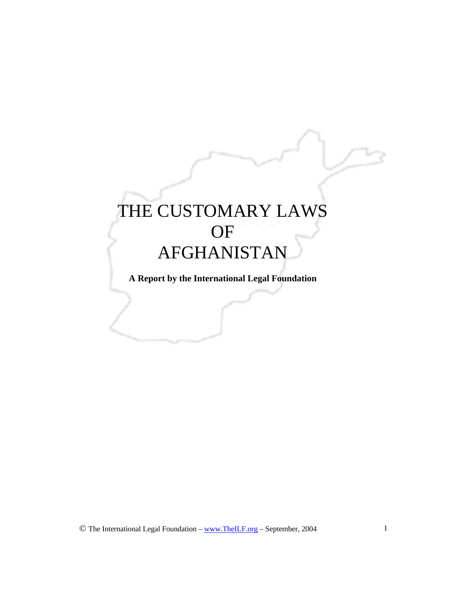# THE CUSTOMARY LAWS OF AFGHANISTAN

**A Report by the International Legal Foundation** 

© The International Legal Foundation – www.TheILF.org – September, 2004 1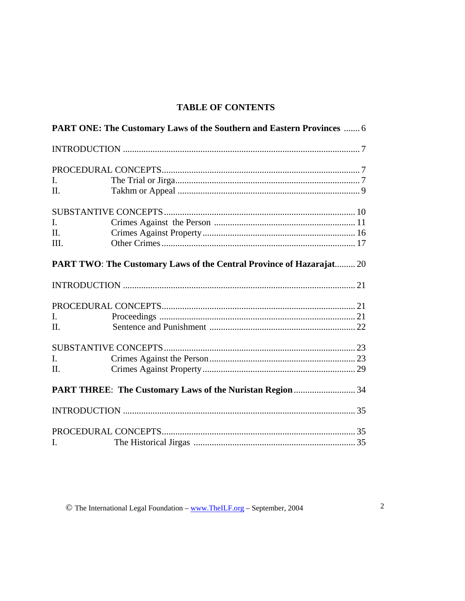# **TABLE OF CONTENTS**

| PART ONE: The Customary Laws of the Southern and Eastern Provinces  6 |  |  |  |  |
|-----------------------------------------------------------------------|--|--|--|--|
|                                                                       |  |  |  |  |
|                                                                       |  |  |  |  |
| L.                                                                    |  |  |  |  |
| II.                                                                   |  |  |  |  |
|                                                                       |  |  |  |  |
| $\mathbf{I}$ .                                                        |  |  |  |  |
| $\Pi$ .                                                               |  |  |  |  |
| III.                                                                  |  |  |  |  |
| PART TWO: The Customary Laws of the Central Province of Hazarajat 20  |  |  |  |  |
|                                                                       |  |  |  |  |
|                                                                       |  |  |  |  |
| L.                                                                    |  |  |  |  |
| II.                                                                   |  |  |  |  |
|                                                                       |  |  |  |  |
| $\mathbf{I}$ .                                                        |  |  |  |  |
| II.                                                                   |  |  |  |  |
| <b>PART THREE: The Customary Laws of the Nuristan Region  34</b>      |  |  |  |  |
|                                                                       |  |  |  |  |
|                                                                       |  |  |  |  |
| L                                                                     |  |  |  |  |

© The International Legal Foundation - www.TheILF.org - September, 2004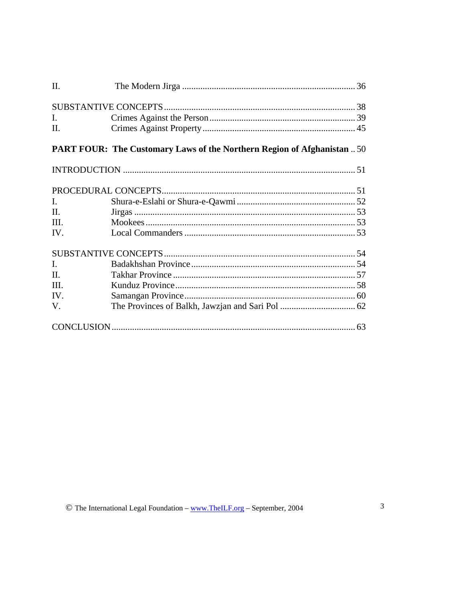| II.            |                                                                         |  |  |  |
|----------------|-------------------------------------------------------------------------|--|--|--|
|                |                                                                         |  |  |  |
| $\mathbf{I}$ . |                                                                         |  |  |  |
| Π.             |                                                                         |  |  |  |
|                | PART FOUR: The Customary Laws of the Northern Region of Afghanistan  50 |  |  |  |
|                |                                                                         |  |  |  |
|                |                                                                         |  |  |  |
| $\mathbf{I}$ . |                                                                         |  |  |  |
| Π.             |                                                                         |  |  |  |
| III.           |                                                                         |  |  |  |
| IV.            |                                                                         |  |  |  |
|                |                                                                         |  |  |  |
| $\mathbf{I}$ . |                                                                         |  |  |  |
| $\Pi$ .        |                                                                         |  |  |  |
| III.           |                                                                         |  |  |  |
| IV.            |                                                                         |  |  |  |
| V.             |                                                                         |  |  |  |
|                |                                                                         |  |  |  |

© The International Legal Foundation - www.TheILF.org - September, 2004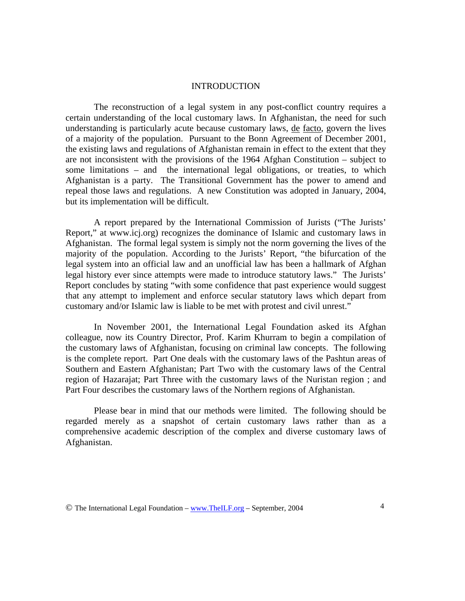#### INTRODUCTION

 The reconstruction of a legal system in any post-conflict country requires a certain understanding of the local customary laws. In Afghanistan, the need for such understanding is particularly acute because customary laws, de facto, govern the lives of a majority of the population. Pursuant to the Bonn Agreement of December 2001, the existing laws and regulations of Afghanistan remain in effect to the extent that they are not inconsistent with the provisions of the 1964 Afghan Constitution – subject to some limitations – and the international legal obligations, or treaties, to which Afghanistan is a party. The Transitional Government has the power to amend and repeal those laws and regulations. A new Constitution was adopted in January, 2004, but its implementation will be difficult.

 A report prepared by the International Commission of Jurists ("The Jurists' Report," at www.icj.org) recognizes the dominance of Islamic and customary laws in Afghanistan. The formal legal system is simply not the norm governing the lives of the majority of the population. According to the Jurists' Report, "the bifurcation of the legal system into an official law and an unofficial law has been a hallmark of Afghan legal history ever since attempts were made to introduce statutory laws." The Jurists' Report concludes by stating "with some confidence that past experience would suggest that any attempt to implement and enforce secular statutory laws which depart from customary and/or Islamic law is liable to be met with protest and civil unrest."

 In November 2001, the International Legal Foundation asked its Afghan colleague, now its Country Director, Prof. Karim Khurram to begin a compilation of the customary laws of Afghanistan, focusing on criminal law concepts. The following is the complete report. Part One deals with the customary laws of the Pashtun areas of Southern and Eastern Afghanistan; Part Two with the customary laws of the Central region of Hazarajat; Part Three with the customary laws of the Nuristan region ; and Part Four describes the customary laws of the Northern regions of Afghanistan.

 Please bear in mind that our methods were limited. The following should be regarded merely as a snapshot of certain customary laws rather than as a comprehensive academic description of the complex and diverse customary laws of Afghanistan.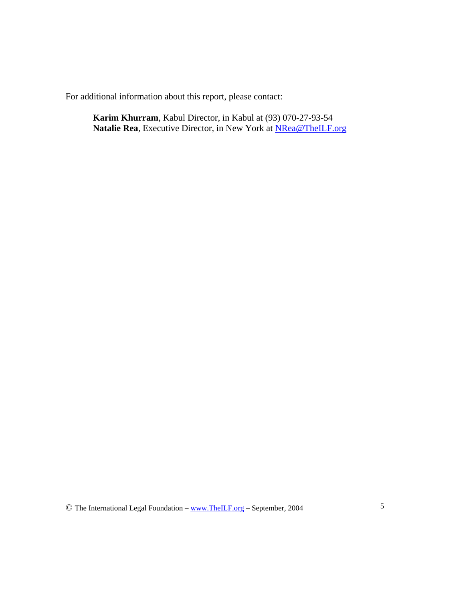For additional information about this report, please contact:

**Karim Khurram**, Kabul Director, in Kabul at (93) 070-27-93-54 **Natalie Rea**, Executive Director, in New York at **NRea@TheILF.org**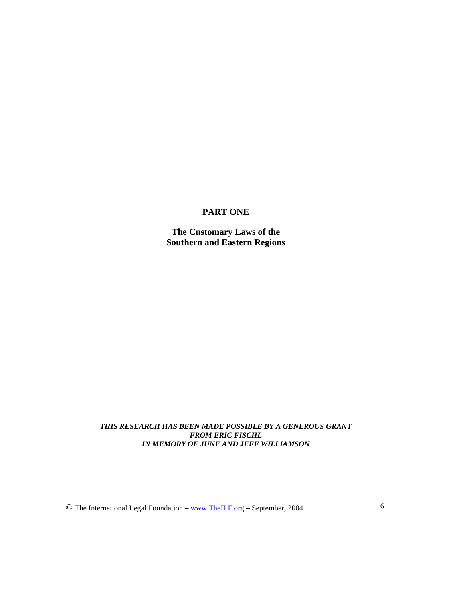# **PART ONE**

**The Customary Laws of the Southern and Eastern Regions** 

*THIS RESEARCH HAS BEEN MADE POSSIBLE BY A GENEROUS GRANT FROM ERIC FISCHL IN MEMORY OF JUNE AND JEFF WILLIAMSON* 

© The International Legal Foundation – www.TheILF.org – September, 2004 6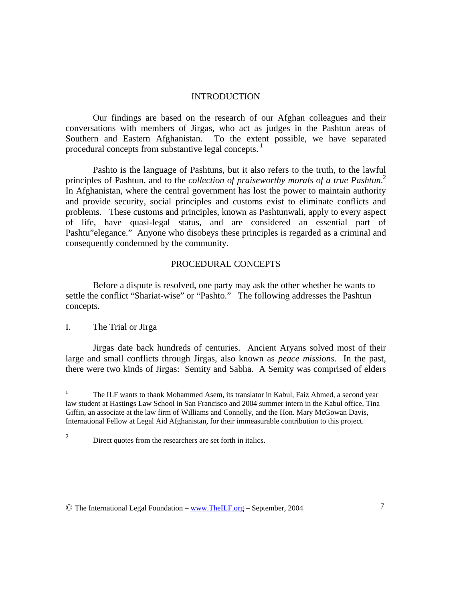#### INTRODUCTION

 Our findings are based on the research of our Afghan colleagues and their conversations with members of Jirgas, who act as judges in the Pashtun areas of Southern and Eastern Afghanistan. To the extent possible, we have separated procedural concepts from substantive legal concepts.<sup>1</sup>

 Pashto is the language of Pashtuns, but it also refers to the truth, to the lawful principles of Pashtun, and to the *collection of praiseworthy morals of a true Pashtun*. 2 In Afghanistan, where the central government has lost the power to maintain authority and provide security, social principles and customs exist to eliminate conflicts and problems. These customs and principles, known as Pashtunwali, apply to every aspect of life, have quasi-legal status, and are considered an essential part of Pashtu"elegance." Anyone who disobeys these principles is regarded as a criminal and consequently condemned by the community.

## PROCEDURAL CONCEPTS

Before a dispute is resolved, one party may ask the other whether he wants to settle the conflict "Shariat-wise" or "Pashto." The following addresses the Pashtun concepts.

# I. The Trial or Jirga

 $\overline{a}$ 

 Jirgas date back hundreds of centuries. Ancient Aryans solved most of their large and small conflicts through Jirgas, also known as *peace missions*. In the past, there were two kinds of Jirgas: Semity and Sabha. A Semity was comprised of elders

<sup>1</sup> The ILF wants to thank Mohammed Asem, its translator in Kabul, Faiz Ahmed, a second year law student at Hastings Law School in San Francisco and 2004 summer intern in the Kabul office, Tina Giffin, an associate at the law firm of Williams and Connolly, and the Hon. Mary McGowan Davis, International Fellow at Legal Aid Afghanistan, for their immeasurable contribution to this project.

<sup>2</sup> Direct quotes from the researchers are set forth in italics.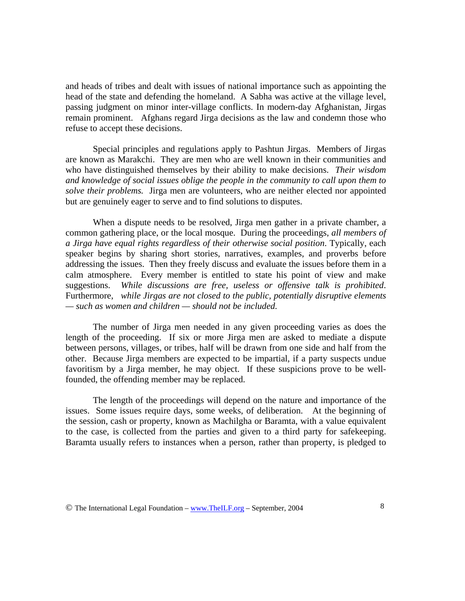and heads of tribes and dealt with issues of national importance such as appointing the head of the state and defending the homeland. A Sabha was active at the village level, passing judgment on minor inter-village conflicts. In modern-day Afghanistan, Jirgas remain prominent. Afghans regard Jirga decisions as the law and condemn those who refuse to accept these decisions.

 Special principles and regulations apply to Pashtun Jirgas. Members of Jirgas are known as Marakchi. They are men who are well known in their communities and who have distinguished themselves by their ability to make decisions. *Their wisdom and knowledge of social issues oblige the people in the community to call upon them to solve their problems.* Jirga men are volunteers, who are neither elected nor appointed but are genuinely eager to serve and to find solutions to disputes.

 When a dispute needs to be resolved, Jirga men gather in a private chamber, a common gathering place, or the local mosque. During the proceedings, *all members of a Jirga have equal rights regardless of their otherwise social position*. Typically, each speaker begins by sharing short stories, narratives, examples, and proverbs before addressing the issues. Then they freely discuss and evaluate the issues before them in a calm atmosphere. Every member is entitled to state his point of view and make suggestions. *While discussions are free, useless or offensive talk is prohibited*. Furthermore, *while Jirgas are not closed to the public, potentially disruptive elements — such as women and children — should not be included.* 

 The number of Jirga men needed in any given proceeding varies as does the length of the proceeding. If six or more Jirga men are asked to mediate a dispute between persons, villages, or tribes, half will be drawn from one side and half from the other. Because Jirga members are expected to be impartial, if a party suspects undue favoritism by a Jirga member, he may object. If these suspicions prove to be wellfounded, the offending member may be replaced.

 The length of the proceedings will depend on the nature and importance of the issues. Some issues require days, some weeks, of deliberation. At the beginning of the session, cash or property, known as Machilgha or Baramta, with a value equivalent to the case, is collected from the parties and given to a third party for safekeeping. Baramta usually refers to instances when a person, rather than property, is pledged to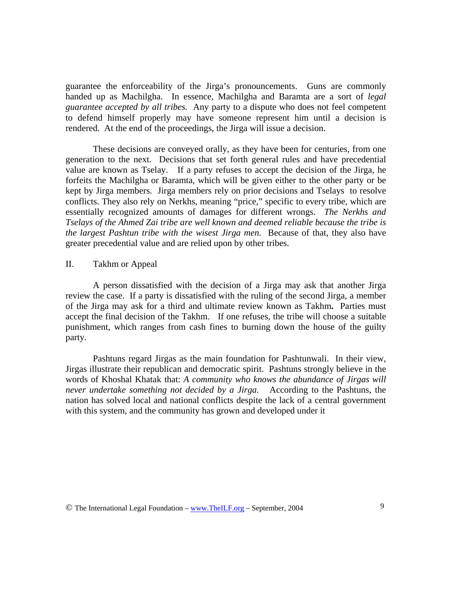guarantee the enforceability of the Jirga's pronouncements. Guns are commonly handed up as Machilgha. In essence, Machilgha and Baramta are a sort of *legal guarantee accepted by all tribes.* Any party to a dispute who does not feel competent to defend himself properly may have someone represent him until a decision is rendered. At the end of the proceedings, the Jirga will issue a decision.

 These decisions are conveyed orally, as they have been for centuries, from one generation to the next. Decisions that set forth general rules and have precedential value are known as Tselay. If a party refuses to accept the decision of the Jirga, he forfeits the Machilgha or Baramta*,* which will be given either to the other party or be kept by Jirga members. Jirga members rely on prior decisions and Tselays to resolve conflicts. They also rely on Nerkhs, meaning "price," specific to every tribe, which are essentially recognized amounts of damages for different wrongs. *The Nerkhs and Tselays of the Ahmed Zai tribe are well known and deemed reliable because the tribe is the largest Pashtun tribe with the wisest Jirga men.* Because of that, they also have greater precedential value and are relied upon by other tribes.

# II. Takhm or Appeal

 A person dissatisfied with the decision of a Jirga may ask that another Jirga review the case. If a party is dissatisfied with the ruling of the second Jirga, a member of the Jirga may ask for a third and ultimate review known as Takhm**.** Parties must accept the final decision of the Takhm. If one refuses, the tribe will choose a suitable punishment, which ranges from cash fines to burning down the house of the guilty party.

 Pashtuns regard Jirgas as the main foundation for Pashtunwali. In their view, Jirgas illustrate their republican and democratic spirit. Pashtuns strongly believe in the words of Khoshal Khatak that: *A community who knows the abundance of Jirgas will never undertake something not decided by a Jirga.* According to the Pashtuns, the nation has solved local and national conflicts despite the lack of a central government with this system, and the community has grown and developed under it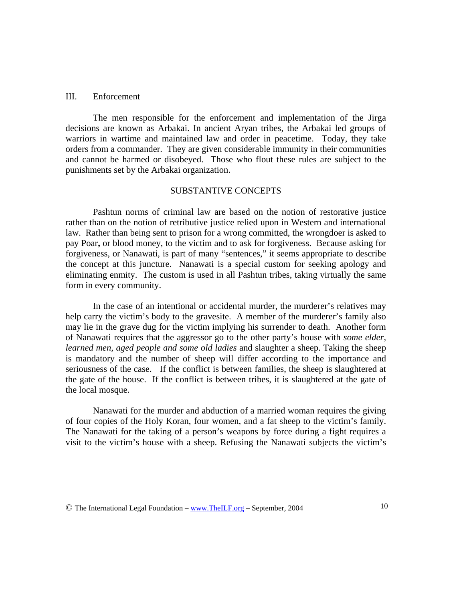# III. Enforcement

The men responsible for the enforcement and implementation of the Jirga decisions are known as Arbakai. In ancient Aryan tribes, the Arbakai led groups of warriors in wartime and maintained law and order in peacetime. Today, they take orders from a commander. They are given considerable immunity in their communities and cannot be harmed or disobeyed. Those who flout these rules are subject to the punishments set by the Arbakai organization.

## SUBSTANTIVE CONCEPTS

 Pashtun norms of criminal law are based on the notion of restorative justice rather than on the notion of retributive justice relied upon in Western and international law. Rather than being sent to prison for a wrong committed, the wrongdoer is asked to pay Poar**,** or blood money, to the victim and to ask for forgiveness. Because asking for forgiveness, or Nanawati, is part of many "sentences," it seems appropriate to describe the concept at this juncture. Nanawati is a special custom for seeking apology and eliminating enmity. The custom is used in all Pashtun tribes, taking virtually the same form in every community.

 In the case of an intentional or accidental murder, the murderer's relatives may help carry the victim's body to the gravesite. A member of the murderer's family also may lie in the grave dug for the victim implying his surrender to death. Another form of Nanawati requires that the aggressor go to the other party's house with *some elder, learned men, aged people and some old ladies* and slaughter a sheep. Taking the sheep is mandatory and the number of sheep will differ according to the importance and seriousness of the case. If the conflict is between families, the sheep is slaughtered at the gate of the house. If the conflict is between tribes, it is slaughtered at the gate of the local mosque.

 Nanawati for the murder and abduction of a married woman requires the giving of four copies of the Holy Koran, four women, and a fat sheep to the victim's family. The Nanawati for the taking of a person's weapons by force during a fight requires a visit to the victim's house with a sheep. Refusing the Nanawati subjects the victim's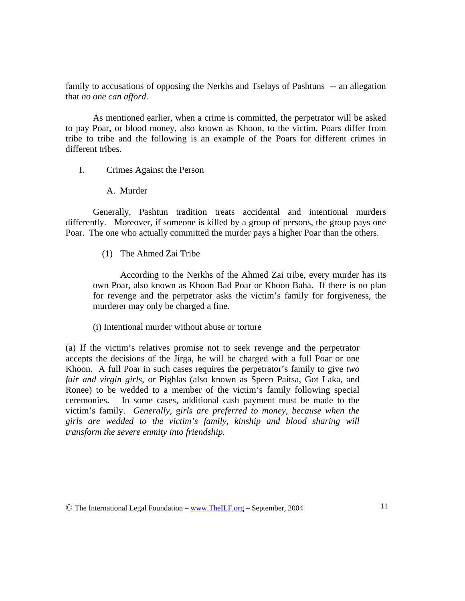family to accusations of opposing the Nerkhs and Tselays of Pashtuns -- an allegation that *no one can afford*.

 As mentioned earlier, when a crime is committed, the perpetrator will be asked to pay Poar**,** or blood money, also known as Khoon, to the victim. Poars differ from tribe to tribe and the following is an example of the Poars for different crimes in different tribes.

- I. Crimes Against the Person
	- A. Murder

Generally, Pashtun tradition treats accidental and intentional murders differently. Moreover, if someone is killed by a group of persons, the group pays one Poar. The one who actually committed the murder pays a higher Poar than the others.

# (1) The Ahmed Zai Tribe

 According to the Nerkhs of the Ahmed Zai tribe, every murder has its own Poar, also known as Khoon Bad Poar or Khoon Baha. If there is no plan for revenge and the perpetrator asks the victim's family for forgiveness, the murderer may only be charged a fine.

(i) Intentional murder without abuse or torture

(a) If the victim's relatives promise not to seek revenge and the perpetrator accepts the decisions of the Jirga, he will be charged with a full Poar or one Khoon. A full Poar in such cases requires the perpetrator's family to give *two fair and virgin girls,* or Pighlas (also known as Speen Paitsa, Got Laka, and Ronee) to be wedded to a member of the victim's family following special ceremonies. In some cases, additional cash payment must be made to the victim's family. *Generally,* g*irls are preferred to money, because when the girls are wedded to the victim's family, kinship and blood sharing will transform the severe enmity into friendship.*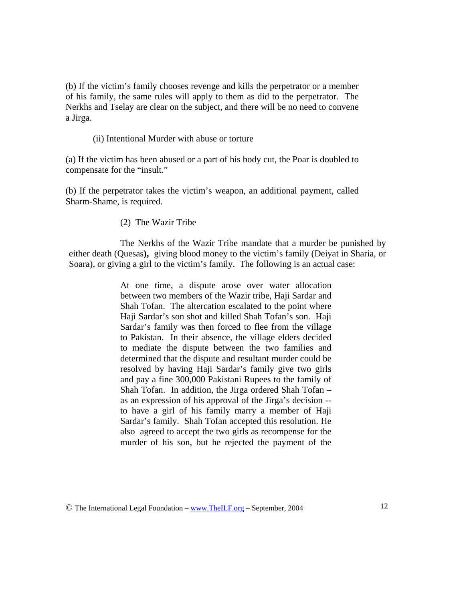(b) If the victim's family chooses revenge and kills the perpetrator or a member of his family, the same rules will apply to them as did to the perpetrator. The Nerkhs and Tselay are clear on the subject, and there will be no need to convene a Jirga.

#### (ii) Intentional Murder with abuse or torture

(a) If the victim has been abused or a part of his body cut, the Poar is doubled to compensate for the "insult."

(b) If the perpetrator takes the victim's weapon, an additional payment, called Sharm-Shame, is required.

## (2) The Wazir Tribe

 The Nerkhs of the Wazir Tribe mandate that a murder be punished by either death (Quesas**),** giving blood money to the victim's family (Deiyat in Sharia, or Soara), or giving a girl to the victim's family. The following is an actual case:

> At one time, a dispute arose over water allocation between two members of the Wazir tribe, Haji Sardar and Shah Tofan. The altercation escalated to the point where Haji Sardar's son shot and killed Shah Tofan's son. Haji Sardar's family was then forced to flee from the village to Pakistan. In their absence, the village elders decided to mediate the dispute between the two families and determined that the dispute and resultant murder could be resolved by having Haji Sardar's family give two girls and pay a fine 300,000 Pakistani Rupees to the family of Shah Tofan. In addition, the Jirga ordered Shah Tofan – as an expression of his approval of the Jirga's decision - to have a girl of his family marry a member of Haji Sardar's family. Shah Tofan accepted this resolution. He also agreed to accept the two girls as recompense for the murder of his son, but he rejected the payment of the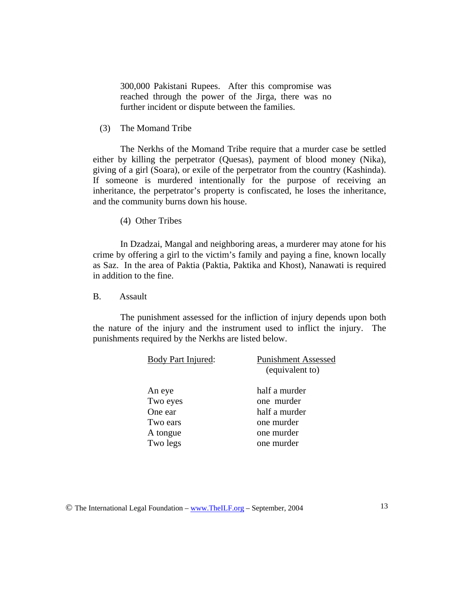300,000 Pakistani Rupees. After this compromise was reached through the power of the Jirga, there was no further incident or dispute between the families.

(3) The Momand Tribe

 The Nerkhs of the Momand Tribe require that a murder case be settled either by killing the perpetrator (Quesas), payment of blood money (Nika), giving of a girl (Soara), or exile of the perpetrator from the country (Kashinda). If someone is murdered intentionally for the purpose of receiving an inheritance, the perpetrator's property is confiscated, he loses the inheritance, and the community burns down his house.

(4) Other Tribes

 In Dzadzai, Mangal and neighboring areas, a murderer may atone for his crime by offering a girl to the victim's family and paying a fine, known locally as Saz. In the area of Paktia (Paktia, Paktika and Khost), Nanawati is required in addition to the fine.

B. Assault

 The punishment assessed for the infliction of injury depends upon both the nature of the injury and the instrument used to inflict the injury. The punishments required by the Nerkhs are listed below.

| Body Part Injured: | <b>Punishment Assessed</b><br>(equivalent to) |
|--------------------|-----------------------------------------------|
| An eye             | half a murder                                 |
| Two eyes           | one murder                                    |
| One ear            | half a murder                                 |
| Two ears           | one murder                                    |
| A tongue           | one murder                                    |
| Two legs           | one murder                                    |
|                    |                                               |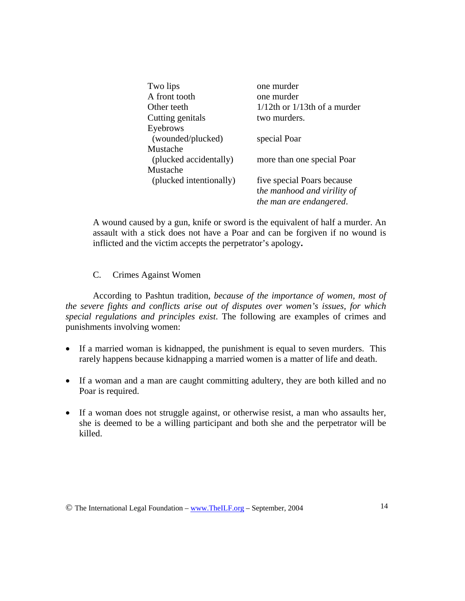| Two lips                | one murder                         |
|-------------------------|------------------------------------|
| A front tooth           | one murder                         |
| Other teeth             | $1/12$ th or $1/13$ th of a murder |
| Cutting genitals        | two murders.                       |
| Eyebrows                |                                    |
| (wounded/plucked)       | special Poar                       |
| Mustache                |                                    |
| (plucked accidentally)  | more than one special Poar         |
| Mustache                |                                    |
| (plucked intentionally) | five special Poars because         |
|                         | the manhood and virility of        |
|                         | the man are endangered.            |

A wound caused by a gun, knife or sword is the equivalent of half a murder. An assault with a stick does not have a Poar and can be forgiven if no wound is inflicted and the victim accepts the perpetrator's apology**.** 

# C. Crimes Against Women

According to Pashtun tradition, *because of the importance of women, most of the severe fights and conflicts arise out of disputes over women's issues, for which special regulations and principles exist*. The following are examples of crimes and punishments involving women:

- If a married woman is kidnapped, the punishment is equal to seven murders. This rarely happens because kidnapping a married women is a matter of life and death.
- If a woman and a man are caught committing adultery, they are both killed and no Poar is required.
- If a woman does not struggle against, or otherwise resist, a man who assaults her, she is deemed to be a willing participant and both she and the perpetrator will be killed.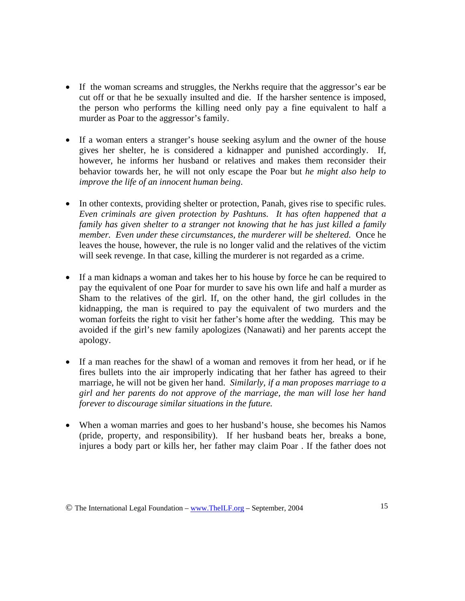- If the woman screams and struggles, the Nerkhs require that the aggressor's ear be cut off or that he be sexually insulted and die. If the harsher sentence is imposed, the person who performs the killing need only pay a fine equivalent to half a murder as Poar to the aggressor's family.
- If a woman enters a stranger's house seeking asylum and the owner of the house gives her shelter, he is considered a kidnapper and punished accordingly. If, however, he informs her husband or relatives and makes them reconsider their behavior towards her, he will not only escape the Poar but *he might also help to improve the life of an innocent human being*.
- In other contexts, providing shelter or protection, Panah, gives rise to specific rules. *Even criminals are given protection by Pashtuns. It has often happened that a family has given shelter to a stranger not knowing that he has just killed a family member. Even under these circumstances, the murderer will be sheltered.* Once he leaves the house, however, the rule is no longer valid and the relatives of the victim will seek revenge. In that case, killing the murderer is not regarded as a crime.
- If a man kidnaps a woman and takes her to his house by force he can be required to pay the equivalent of one Poar for murder to save his own life and half a murder as Sham to the relatives of the girl. If, on the other hand, the girl colludes in the kidnapping, the man is required to pay the equivalent of two murders and the woman forfeits the right to visit her father's home after the wedding. This may be avoided if the girl's new family apologizes (Nanawati) and her parents accept the apology.
- If a man reaches for the shawl of a woman and removes it from her head, or if he fires bullets into the air improperly indicating that her father has agreed to their marriage, he will not be given her hand. *Similarly, if a man proposes marriage to a girl and her parents do not approve of the marriage, the man will lose her hand forever to discourage similar situations in the future.*
- When a woman marries and goes to her husband's house, she becomes his Namos (pride, property, and responsibility). If her husband beats her, breaks a bone, injures a body part or kills her, her father may claim Poar . If the father does not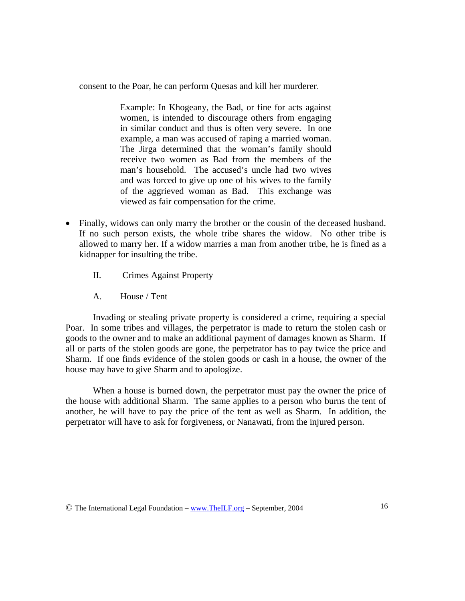consent to the Poar, he can perform Quesas and kill her murderer.

Example: In Khogeany, the Bad, or fine for acts against women, is intended to discourage others from engaging in similar conduct and thus is often very severe. In one example, a man was accused of raping a married woman. The Jirga determined that the woman's family should receive two women as Bad from the members of the man's household. The accused's uncle had two wives and was forced to give up one of his wives to the family of the aggrieved woman as Bad. This exchange was viewed as fair compensation for the crime.

- Finally, widows can only marry the brother or the cousin of the deceased husband. If no such person exists, the whole tribe shares the widow. No other tribe is allowed to marry her. If a widow marries a man from another tribe, he is fined as a kidnapper for insulting the tribe.
	- II. Crimes Against Property
	- A. House / Tent

Invading or stealing private property is considered a crime, requiring a special Poar. In some tribes and villages, the perpetrator is made to return the stolen cash or goods to the owner and to make an additional payment of damages known as Sharm. If all or parts of the stolen goods are gone, the perpetrator has to pay twice the price and Sharm. If one finds evidence of the stolen goods or cash in a house, the owner of the house may have to give Sharm and to apologize.

When a house is burned down, the perpetrator must pay the owner the price of the house with additional Sharm. The same applies to a person who burns the tent of another, he will have to pay the price of the tent as well as Sharm. In addition, the perpetrator will have to ask for forgiveness, or Nanawati, from the injured person.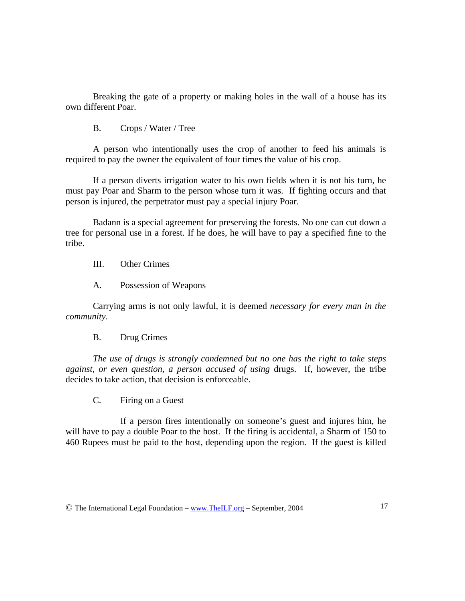Breaking the gate of a property or making holes in the wall of a house has its own different Poar.

B. Crops / Water / Tree

A person who intentionally uses the crop of another to feed his animals is required to pay the owner the equivalent of four times the value of his crop.

If a person diverts irrigation water to his own fields when it is not his turn, he must pay Poar and Sharm to the person whose turn it was. If fighting occurs and that person is injured, the perpetrator must pay a special injury Poar.

Badann is a special agreement for preserving the forests. No one can cut down a tree for personal use in a forest. If he does, he will have to pay a specified fine to the tribe.

III. Other Crimes

A. Possession of Weapons

 Carrying arms is not only lawful, it is deemed *necessary for every man in the community*.

B. Drug Crimes

 *The use of drugs is strongly condemned but no one has the right to take steps against, or even question, a person accused of using* drugs. If, however, the tribe decides to take action, that decision is enforceable.

C. Firing on a Guest

 If a person fires intentionally on someone's guest and injures him, he will have to pay a double Poar to the host. If the firing is accidental, a Sharm of 150 to 460 Rupees must be paid to the host, depending upon the region. If the guest is killed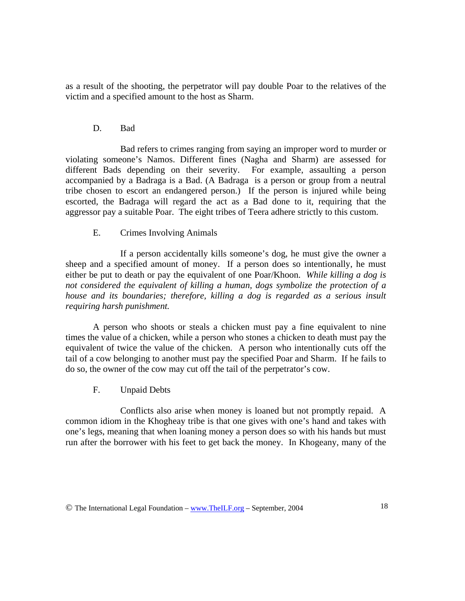as a result of the shooting, the perpetrator will pay double Poar to the relatives of the victim and a specified amount to the host as Sharm.

# D. Bad

 Bad refers to crimes ranging from saying an improper word to murder or violating someone's Namos. Different fines (Nagha and Sharm) are assessed for different Bads depending on their severity. For example, assaulting a person accompanied by a Badraga is a Bad. (A Badraga is a person or group from a neutral tribe chosen to escort an endangered person.) If the person is injured while being escorted, the Badraga will regard the act as a Bad done to it, requiring that the aggressor pay a suitable Poar. The eight tribes of Teera adhere strictly to this custom.

# E. Crimes Involving Animals

 If a person accidentally kills someone's dog, he must give the owner a sheep and a specified amount of money. If a person does so intentionally, he must either be put to death or pay the equivalent of one Poar/Khoon. *While killing a dog is not considered the equivalent of killing a human, dogs symbolize the protection of a house and its boundaries; therefore, killing a dog is regarded as a serious insult requiring harsh punishment.* 

A person who shoots or steals a chicken must pay a fine equivalent to nine times the value of a chicken, while a person who stones a chicken to death must pay the equivalent of twice the value of the chicken. A person who intentionally cuts off the tail of a cow belonging to another must pay the specified Poar and Sharm. If he fails to do so, the owner of the cow may cut off the tail of the perpetrator's cow.

# F. Unpaid Debts

 Conflicts also arise when money is loaned but not promptly repaid. A common idiom in the Khogheay tribe is that one gives with one's hand and takes with one's legs, meaning that when loaning money a person does so with his hands but must run after the borrower with his feet to get back the money. In Khogeany, many of the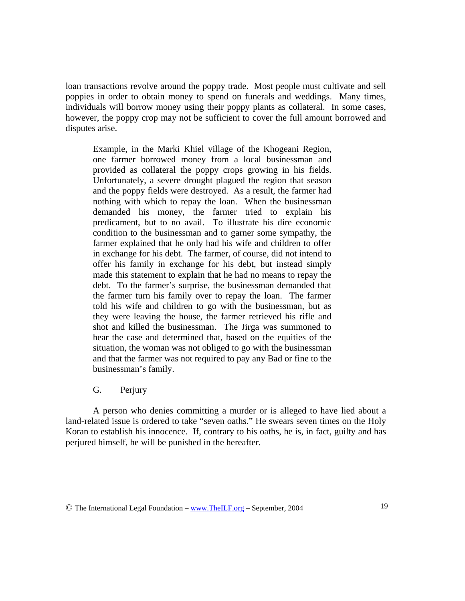loan transactions revolve around the poppy trade. Most people must cultivate and sell poppies in order to obtain money to spend on funerals and weddings. Many times, individuals will borrow money using their poppy plants as collateral. In some cases, however, the poppy crop may not be sufficient to cover the full amount borrowed and disputes arise.

Example, in the Marki Khiel village of the Khogeani Region, one farmer borrowed money from a local businessman and provided as collateral the poppy crops growing in his fields. Unfortunately, a severe drought plagued the region that season and the poppy fields were destroyed. As a result, the farmer had nothing with which to repay the loan. When the businessman demanded his money, the farmer tried to explain his predicament, but to no avail. To illustrate his dire economic condition to the businessman and to garner some sympathy, the farmer explained that he only had his wife and children to offer in exchange for his debt. The farmer, of course, did not intend to offer his family in exchange for his debt, but instead simply made this statement to explain that he had no means to repay the debt. To the farmer's surprise, the businessman demanded that the farmer turn his family over to repay the loan. The farmer told his wife and children to go with the businessman, but as they were leaving the house, the farmer retrieved his rifle and shot and killed the businessman. The Jirga was summoned to hear the case and determined that, based on the equities of the situation, the woman was not obliged to go with the businessman and that the farmer was not required to pay any Bad or fine to the businessman's family.

G. Perjury

A person who denies committing a murder or is alleged to have lied about a land-related issue is ordered to take "seven oaths." He swears seven times on the Holy Koran to establish his innocence. If, contrary to his oaths, he is, in fact, guilty and has perjured himself, he will be punished in the hereafter.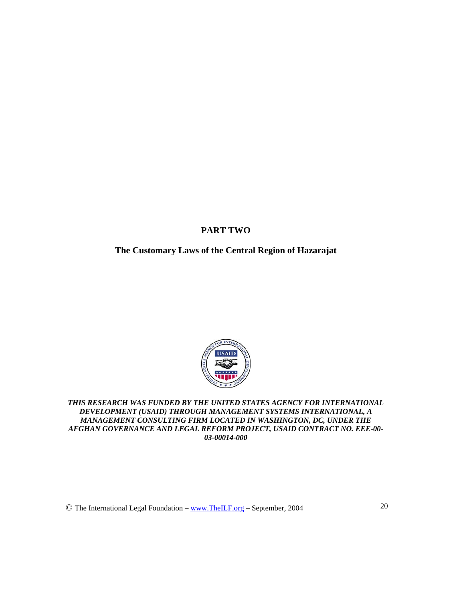# **PART TWO**

# **The Customary Laws of the Central Region of Hazarajat**



*THIS RESEARCH WAS FUNDED BY THE UNITED STATES AGENCY FOR INTERNATIONAL DEVELOPMENT (USAID) THROUGH MANAGEMENT SYSTEMS INTERNATIONAL, A MANAGEMENT CONSULTING FIRM LOCATED IN WASHINGTON, DC, UNDER THE AFGHAN GOVERNANCE AND LEGAL REFORM PROJECT, USAID CONTRACT NO. EEE-00- 03-00014-000* 

© The International Legal Foundation – www.TheILF.org – September, 2004 20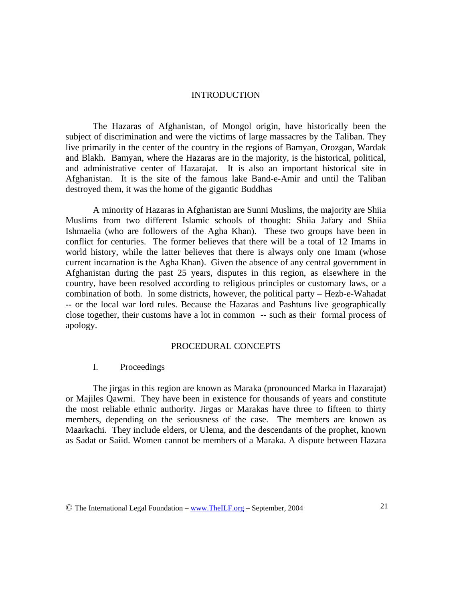#### INTRODUCTION

 The Hazaras of Afghanistan, of Mongol origin, have historically been the subject of discrimination and were the victims of large massacres by the Taliban. They live primarily in the center of the country in the regions of Bamyan, Orozgan, Wardak and Blakh. Bamyan, where the Hazaras are in the majority, is the historical, political, and administrative center of Hazarajat. It is also an important historical site in Afghanistan. It is the site of the famous lake Band-e-Amir and until the Taliban destroyed them, it was the home of the gigantic Buddhas

 A minority of Hazaras in Afghanistan are Sunni Muslims, the majority are Shiia Muslims from two different Islamic schools of thought: Shiia Jafary and Shiia Ishmaelia (who are followers of the Agha Khan). These two groups have been in conflict for centuries. The former believes that there will be a total of 12 Imams in world history, while the latter believes that there is always only one Imam (whose current incarnation is the Agha Khan). Given the absence of any central government in Afghanistan during the past 25 years, disputes in this region, as elsewhere in the country, have been resolved according to religious principles or customary laws, or a combination of both. In some districts, however, the political party – Hezb-e-Wahadat -- or the local war lord rules. Because the Hazaras and Pashtuns live geographically close together, their customs have a lot in common -- such as their formal process of apology.

#### PROCEDURAL CONCEPTS

#### I. Proceedings

The jirgas in this region are known as Maraka (pronounced Marka in Hazarajat) or Majiles Qawmi. They have been in existence for thousands of years and constitute the most reliable ethnic authority. Jirgas or Marakas have three to fifteen to thirty members, depending on the seriousness of the case. The members are known as Maarkachi. They include elders, or Ulema, and the descendants of the prophet, known as Sadat or Saiid. Women cannot be members of a Maraka. A dispute between Hazara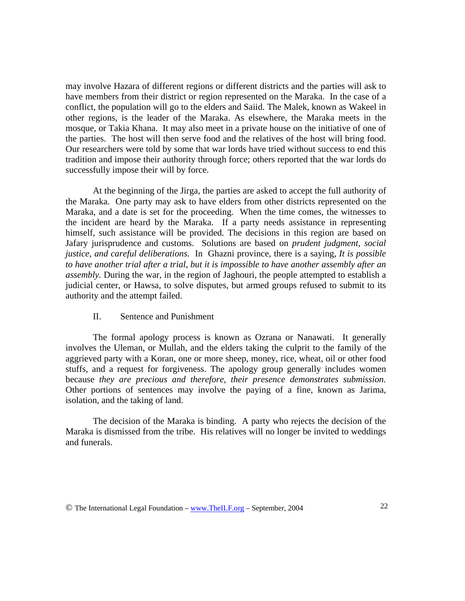may involve Hazara of different regions or different districts and the parties will ask to have members from their district or region represented on the Maraka. In the case of a conflict, the population will go to the elders and Saiid. The Malek, known as Wakeel in other regions, is the leader of the Maraka. As elsewhere, the Maraka meets in the mosque, or Takia Khana. It may also meet in a private house on the initiative of one of the parties. The host will then serve food and the relatives of the host will bring food. Our researchers were told by some that war lords have tried without success to end this tradition and impose their authority through force; others reported that the war lords do successfully impose their will by force.

At the beginning of the Jirga, the parties are asked to accept the full authority of the Maraka. One party may ask to have elders from other districts represented on the Maraka, and a date is set for the proceeding. When the time comes, the witnesses to the incident are heard by the Maraka. If a party needs assistance in representing himself, such assistance will be provided. The decisions in this region are based on Jafary jurisprudence and customs. Solutions are based on *prudent judgment, social justice, and careful deliberations.* In Ghazni province, there is a saying, *It is possible to have another trial after a trial, but it is impossible to have another assembly after an assembly.* During the war, in the region of Jaghouri, the people attempted to establish a judicial center, or Hawsa, to solve disputes, but armed groups refused to submit to its authority and the attempt failed.

#### II. Sentence and Punishment

The formal apology process is known as Ozrana or Nanawati. It generally involves the Uleman, or Mullah, and the elders taking the culprit to the family of the aggrieved party with a Koran, one or more sheep, money, rice, wheat, oil or other food stuffs, and a request for forgiveness. The apology group generally includes women because *they are precious and therefore, their presence demonstrates submission.* Other portions of sentences may involve the paying of a fine, known as Jarima, isolation, and the taking of land.

The decision of the Maraka is binding. A party who rejects the decision of the Maraka is dismissed from the tribe. His relatives will no longer be invited to weddings and funerals.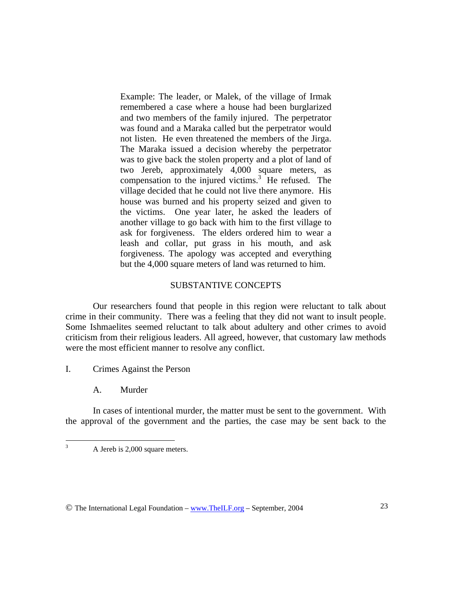Example: The leader, or Malek, of the village of Irmak remembered a case where a house had been burglarized and two members of the family injured. The perpetrator was found and a Maraka called but the perpetrator would not listen. He even threatened the members of the Jirga. The Maraka issued a decision whereby the perpetrator was to give back the stolen property and a plot of land of two Jereb, approximately 4,000 square meters, as compensation to the injured victims. $3$  He refused. The village decided that he could not live there anymore. His house was burned and his property seized and given to the victims. One year later, he asked the leaders of another village to go back with him to the first village to ask for forgiveness. The elders ordered him to wear a leash and collar, put grass in his mouth, and ask forgiveness. The apology was accepted and everything but the 4,000 square meters of land was returned to him.

## SUBSTANTIVE CONCEPTS

 Our researchers found that people in this region were reluctant to talk about crime in their community. There was a feeling that they did not want to insult people. Some Ishmaelites seemed reluctant to talk about adultery and other crimes to avoid criticism from their religious leaders. All agreed, however, that customary law methods were the most efficient manner to resolve any conflict.

I. Crimes Against the Person

A. Murder

3

 In cases of intentional murder, the matter must be sent to the government. With the approval of the government and the parties, the case may be sent back to the

A Jereb is 2,000 square meters.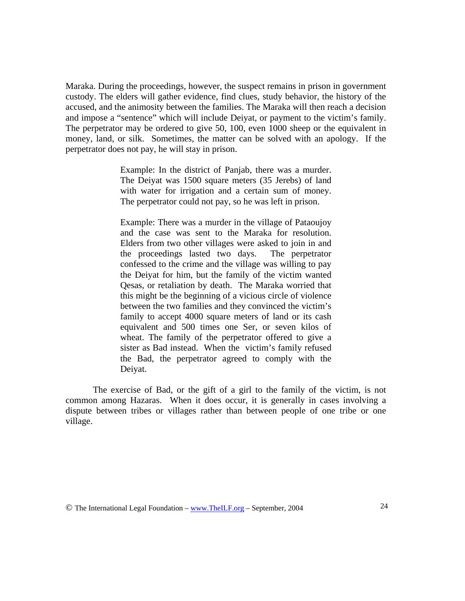Maraka. During the proceedings, however, the suspect remains in prison in government custody. The elders will gather evidence, find clues, study behavior, the history of the accused, and the animosity between the families. The Maraka will then reach a decision and impose a "sentence" which will include Deiyat, or payment to the victim's family. The perpetrator may be ordered to give 50, 100, even 1000 sheep or the equivalent in money, land, or silk. Sometimes, the matter can be solved with an apology. If the perpetrator does not pay, he will stay in prison.

> Example: In the district of Panjab, there was a murder. The Deiyat was 1500 square meters (35 Jerebs) of land with water for irrigation and a certain sum of money. The perpetrator could not pay, so he was left in prison.

> Example: There was a murder in the village of Pataoujoy and the case was sent to the Maraka for resolution. Elders from two other villages were asked to join in and the proceedings lasted two days. The perpetrator confessed to the crime and the village was willing to pay the Deiyat for him, but the family of the victim wanted Qesas, or retaliation by death. The Maraka worried that this might be the beginning of a vicious circle of violence between the two families and they convinced the victim's family to accept 4000 square meters of land or its cash equivalent and 500 times one Ser, or seven kilos of wheat. The family of the perpetrator offered to give a sister as Bad instead. When the victim's family refused the Bad, the perpetrator agreed to comply with the Deiyat.

The exercise of Bad, or the gift of a girl to the family of the victim, is not common among Hazaras. When it does occur, it is generally in cases involving a dispute between tribes or villages rather than between people of one tribe or one village.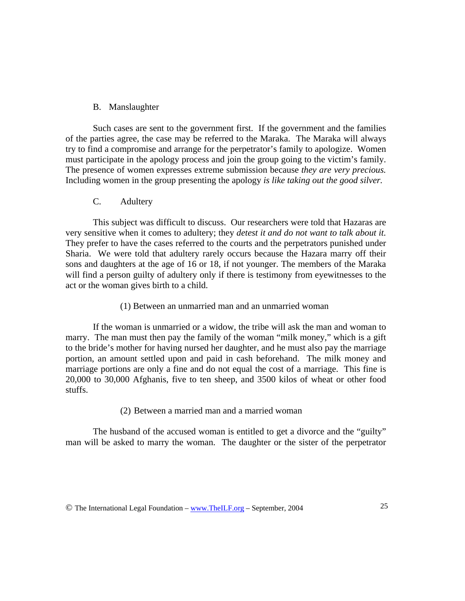# B. Manslaughter

Such cases are sent to the government first. If the government and the families of the parties agree, the case may be referred to the Maraka. The Maraka will always try to find a compromise and arrange for the perpetrator's family to apologize. Women must participate in the apology process and join the group going to the victim's family. The presence of women expresses extreme submission because *they are very precious.*  Including women in the group presenting the apology *is like taking out the good silver.*

C. Adultery

 This subject was difficult to discuss. Our researchers were told that Hazaras are very sensitive when it comes to adultery; they *detest it and do not want to talk about it.* They prefer to have the cases referred to the courts and the perpetrators punished under Sharia. We were told that adultery rarely occurs because the Hazara marry off their sons and daughters at the age of 16 or 18, if not younger. The members of the Maraka will find a person guilty of adultery only if there is testimony from eyewitnesses to the act or the woman gives birth to a child.

(1) Between an unmarried man and an unmarried woman

If the woman is unmarried or a widow, the tribe will ask the man and woman to marry. The man must then pay the family of the woman "milk money," which is a gift to the bride's mother for having nursed her daughter, and he must also pay the marriage portion, an amount settled upon and paid in cash beforehand. The milk money and marriage portions are only a fine and do not equal the cost of a marriage. This fine is 20,000 to 30,000 Afghanis, five to ten sheep, and 3500 kilos of wheat or other food stuffs.

(2) Between a married man and a married woman

The husband of the accused woman is entitled to get a divorce and the "guilty" man will be asked to marry the woman. The daughter or the sister of the perpetrator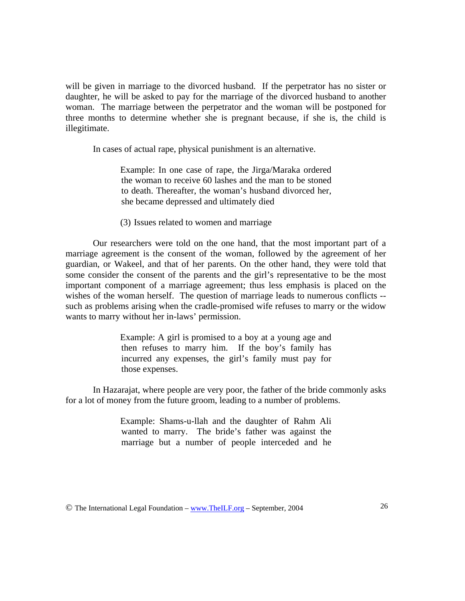will be given in marriage to the divorced husband. If the perpetrator has no sister or daughter, he will be asked to pay for the marriage of the divorced husband to another woman. The marriage between the perpetrator and the woman will be postponed for three months to determine whether she is pregnant because, if she is, the child is illegitimate.

In cases of actual rape, physical punishment is an alternative.

Example: In one case of rape, the Jirga/Maraka ordered the woman to receive 60 lashes and the man to be stoned to death. Thereafter, the woman's husband divorced her, she became depressed and ultimately died

(3) Issues related to women and marriage

Our researchers were told on the one hand, that the most important part of a marriage agreement is the consent of the woman, followed by the agreement of her guardian, or Wakeel, and that of her parents. On the other hand, they were told that some consider the consent of the parents and the girl's representative to be the most important component of a marriage agreement; thus less emphasis is placed on the wishes of the woman herself. The question of marriage leads to numerous conflicts - such as problems arising when the cradle-promised wife refuses to marry or the widow wants to marry without her in-laws' permission.

> Example: A girl is promised to a boy at a young age and then refuses to marry him. If the boy's family has incurred any expenses, the girl's family must pay for those expenses.

 In Hazarajat, where people are very poor, the father of the bride commonly asks for a lot of money from the future groom, leading to a number of problems.

> Example: Shams-u-llah and the daughter of Rahm Ali wanted to marry. The bride's father was against the marriage but a number of people interceded and he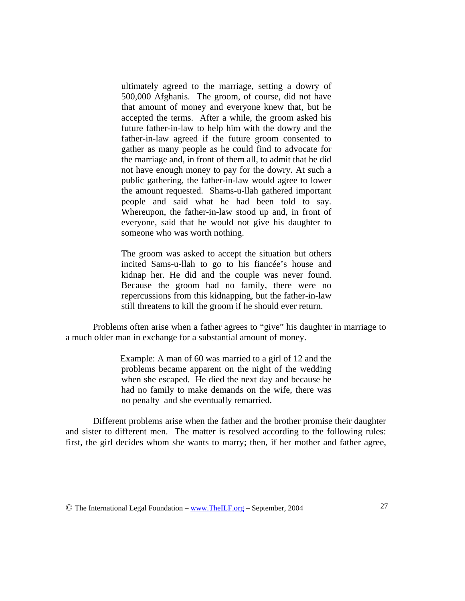ultimately agreed to the marriage, setting a dowry of 500,000 Afghanis. The groom, of course, did not have that amount of money and everyone knew that, but he accepted the terms. After a while, the groom asked his future father-in-law to help him with the dowry and the father-in-law agreed if the future groom consented to gather as many people as he could find to advocate for the marriage and, in front of them all, to admit that he did not have enough money to pay for the dowry. At such a public gathering, the father-in-law would agree to lower the amount requested. Shams-u-llah gathered important people and said what he had been told to say. Whereupon, the father-in-law stood up and, in front of everyone, said that he would not give his daughter to someone who was worth nothing.

The groom was asked to accept the situation but others incited Sams-u-llah to go to his fiancée's house and kidnap her. He did and the couple was never found. Because the groom had no family, there were no repercussions from this kidnapping, but the father-in-law still threatens to kill the groom if he should ever return.

Problems often arise when a father agrees to "give" his daughter in marriage to a much older man in exchange for a substantial amount of money.

> Example: A man of 60 was married to a girl of 12 and the problems became apparent on the night of the wedding when she escaped. He died the next day and because he had no family to make demands on the wife, there was no penalty and she eventually remarried.

 Different problems arise when the father and the brother promise their daughter and sister to different men. The matter is resolved according to the following rules: first, the girl decides whom she wants to marry; then, if her mother and father agree,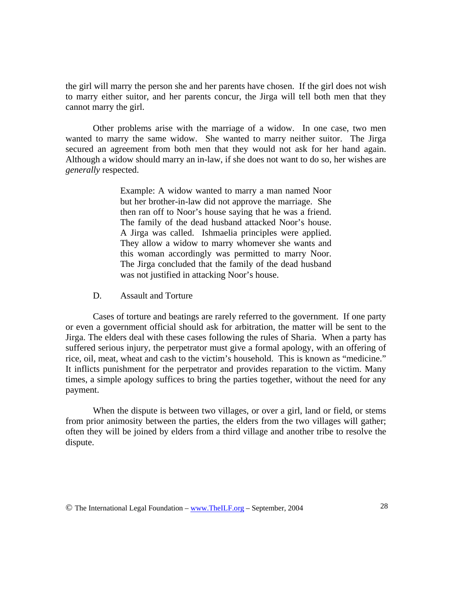the girl will marry the person she and her parents have chosen. If the girl does not wish to marry either suitor, and her parents concur, the Jirga will tell both men that they cannot marry the girl.

 Other problems arise with the marriage of a widow. In one case, two men wanted to marry the same widow. She wanted to marry neither suitor. The Jirga secured an agreement from both men that they would not ask for her hand again. Although a widow should marry an in-law, if she does not want to do so, her wishes are *generally* respected.

> Example: A widow wanted to marry a man named Noor but her brother-in-law did not approve the marriage. She then ran off to Noor's house saying that he was a friend. The family of the dead husband attacked Noor's house. A Jirga was called. Ishmaelia principles were applied. They allow a widow to marry whomever she wants and this woman accordingly was permitted to marry Noor. The Jirga concluded that the family of the dead husband was not justified in attacking Noor's house.

D. Assault and Torture

 Cases of torture and beatings are rarely referred to the government. If one party or even a government official should ask for arbitration, the matter will be sent to the Jirga. The elders deal with these cases following the rules of Sharia. When a party has suffered serious injury, the perpetrator must give a formal apology, with an offering of rice, oil, meat, wheat and cash to the victim's household. This is known as "medicine." It inflicts punishment for the perpetrator and provides reparation to the victim. Many times, a simple apology suffices to bring the parties together, without the need for any payment.

When the dispute is between two villages, or over a girl, land or field, or stems from prior animosity between the parties, the elders from the two villages will gather; often they will be joined by elders from a third village and another tribe to resolve the dispute.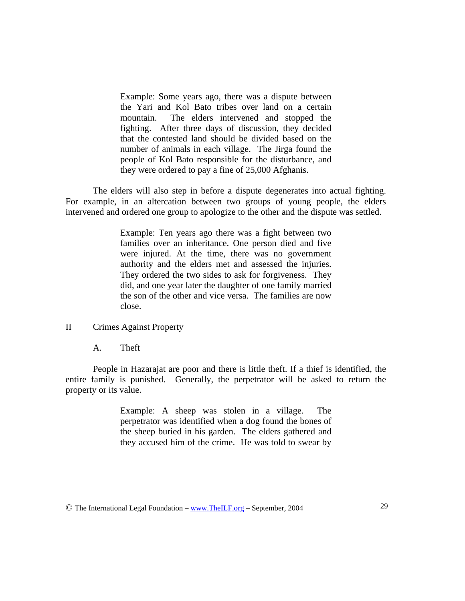Example: Some years ago, there was a dispute between the Yari and Kol Bato tribes over land on a certain mountain. The elders intervened and stopped the fighting. After three days of discussion, they decided that the contested land should be divided based on the number of animals in each village. The Jirga found the people of Kol Bato responsible for the disturbance, and they were ordered to pay a fine of 25,000 Afghanis.

 The elders will also step in before a dispute degenerates into actual fighting. For example, in an altercation between two groups of young people, the elders intervened and ordered one group to apologize to the other and the dispute was settled.

> Example: Ten years ago there was a fight between two families over an inheritance. One person died and five were injured. At the time, there was no government authority and the elders met and assessed the injuries. They ordered the two sides to ask for forgiveness. They did, and one year later the daughter of one family married the son of the other and vice versa. The families are now close.

## II Crimes Against Property

A. Theft

 People in Hazarajat are poor and there is little theft. If a thief is identified, the entire family is punished. Generally, the perpetrator will be asked to return the property or its value.

> Example: A sheep was stolen in a village. The perpetrator was identified when a dog found the bones of the sheep buried in his garden. The elders gathered and they accused him of the crime. He was told to swear by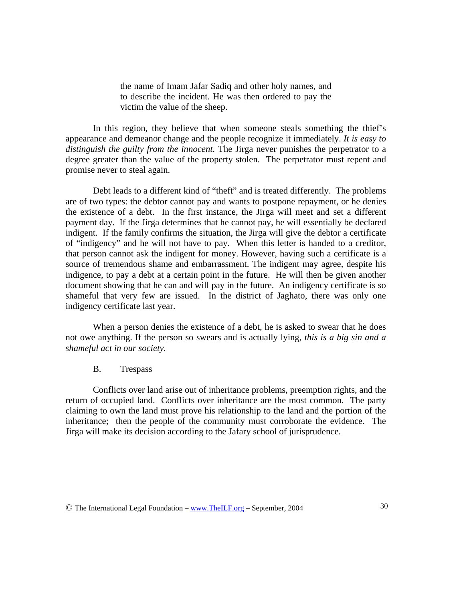the name of Imam Jafar Sadiq and other holy names, and to describe the incident. He was then ordered to pay the victim the value of the sheep.

 In this region, they believe that when someone steals something the thief's appearance and demeanor change and the people recognize it immediately. *It is easy to distinguish the guilty from the innocent.* The Jirga never punishes the perpetrator to a degree greater than the value of the property stolen. The perpetrator must repent and promise never to steal again.

 Debt leads to a different kind of "theft" and is treated differently. The problems are of two types: the debtor cannot pay and wants to postpone repayment, or he denies the existence of a debt. In the first instance, the Jirga will meet and set a different payment day. If the Jirga determines that he cannot pay, he will essentially be declared indigent. If the family confirms the situation, the Jirga will give the debtor a certificate of "indigency" and he will not have to pay. When this letter is handed to a creditor, that person cannot ask the indigent for money. However, having such a certificate is a source of tremendous shame and embarrassment. The indigent may agree, despite his indigence, to pay a debt at a certain point in the future. He will then be given another document showing that he can and will pay in the future. An indigency certificate is so shameful that very few are issued. In the district of Jaghato, there was only one indigency certificate last year.

When a person denies the existence of a debt, he is asked to swear that he does not owe anything. If the person so swears and is actually lying, *this is a big sin and a shameful act in our society.*

# B. Trespass

 Conflicts over land arise out of inheritance problems, preemption rights, and the return of occupied land. Conflicts over inheritance are the most common. The party claiming to own the land must prove his relationship to the land and the portion of the inheritance; then the people of the community must corroborate the evidence. The Jirga will make its decision according to the Jafary school of jurisprudence.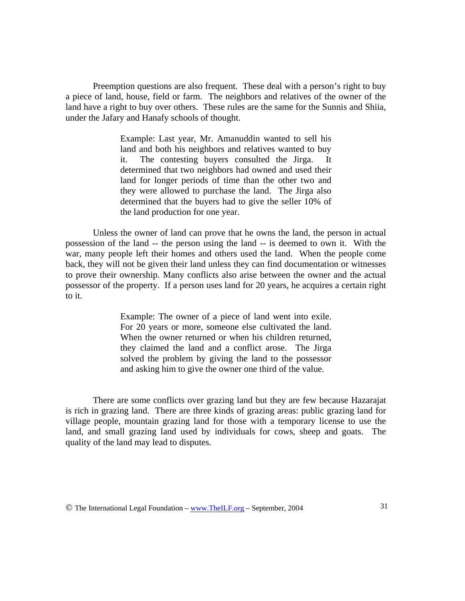Preemption questions are also frequent. These deal with a person's right to buy a piece of land, house, field or farm. The neighbors and relatives of the owner of the land have a right to buy over others. These rules are the same for the Sunnis and Shiia, under the Jafary and Hanafy schools of thought.

> Example: Last year, Mr. Amanuddin wanted to sell his land and both his neighbors and relatives wanted to buy it. The contesting buyers consulted the Jirga. It determined that two neighbors had owned and used their land for longer periods of time than the other two and they were allowed to purchase the land. The Jirga also determined that the buyers had to give the seller 10% of the land production for one year.

 Unless the owner of land can prove that he owns the land, the person in actual possession of the land -- the person using the land -- is deemed to own it. With the war, many people left their homes and others used the land. When the people come back, they will not be given their land unless they can find documentation or witnesses to prove their ownership. Many conflicts also arise between the owner and the actual possessor of the property. If a person uses land for 20 years, he acquires a certain right to it.

> Example: The owner of a piece of land went into exile. For 20 years or more, someone else cultivated the land. When the owner returned or when his children returned, they claimed the land and a conflict arose. The Jirga solved the problem by giving the land to the possessor and asking him to give the owner one third of the value.

 There are some conflicts over grazing land but they are few because Hazarajat is rich in grazing land. There are three kinds of grazing areas: public grazing land for village people, mountain grazing land for those with a temporary license to use the land, and small grazing land used by individuals for cows, sheep and goats. The quality of the land may lead to disputes.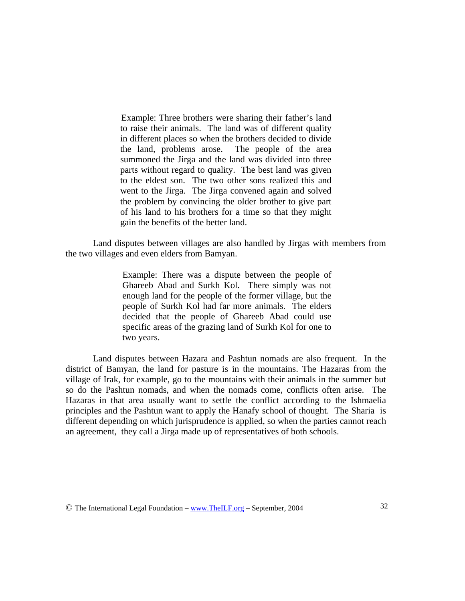Example: Three brothers were sharing their father's land to raise their animals. The land was of different quality in different places so when the brothers decided to divide the land, problems arose. The people of the area summoned the Jirga and the land was divided into three parts without regard to quality. The best land was given to the eldest son. The two other sons realized this and went to the Jirga. The Jirga convened again and solved the problem by convincing the older brother to give part of his land to his brothers for a time so that they might gain the benefits of the better land.

Land disputes between villages are also handled by Jirgas with members from the two villages and even elders from Bamyan.

> Example: There was a dispute between the people of Ghareeb Abad and Surkh Kol. There simply was not enough land for the people of the former village, but the people of Surkh Kol had far more animals. The elders decided that the people of Ghareeb Abad could use specific areas of the grazing land of Surkh Kol for one to two years.

Land disputes between Hazara and Pashtun nomads are also frequent. In the district of Bamyan, the land for pasture is in the mountains. The Hazaras from the village of Irak, for example, go to the mountains with their animals in the summer but so do the Pashtun nomads, and when the nomads come, conflicts often arise. The Hazaras in that area usually want to settle the conflict according to the Ishmaelia principles and the Pashtun want to apply the Hanafy school of thought. The Sharia is different depending on which jurisprudence is applied, so when the parties cannot reach an agreement, they call a Jirga made up of representatives of both schools.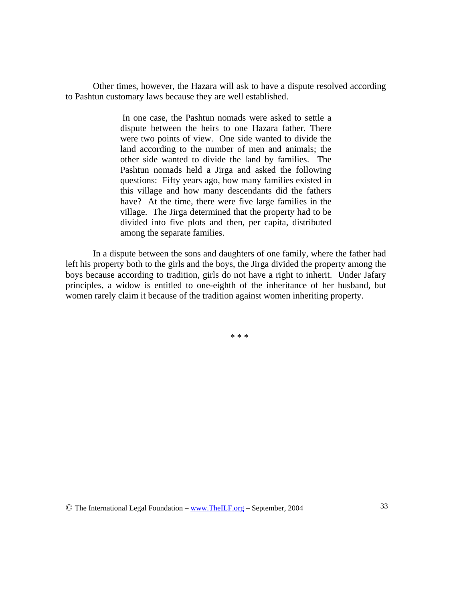Other times, however, the Hazara will ask to have a dispute resolved according to Pashtun customary laws because they are well established.

> In one case, the Pashtun nomads were asked to settle a dispute between the heirs to one Hazara father. There were two points of view. One side wanted to divide the land according to the number of men and animals; the other side wanted to divide the land by families. The Pashtun nomads held a Jirga and asked the following questions: Fifty years ago, how many families existed in this village and how many descendants did the fathers have? At the time, there were five large families in the village. The Jirga determined that the property had to be divided into five plots and then, per capita, distributed among the separate families.

In a dispute between the sons and daughters of one family, where the father had left his property both to the girls and the boys, the Jirga divided the property among the boys because according to tradition, girls do not have a right to inherit. Under Jafary principles, a widow is entitled to one-eighth of the inheritance of her husband, but women rarely claim it because of the tradition against women inheriting property.

\* \* \*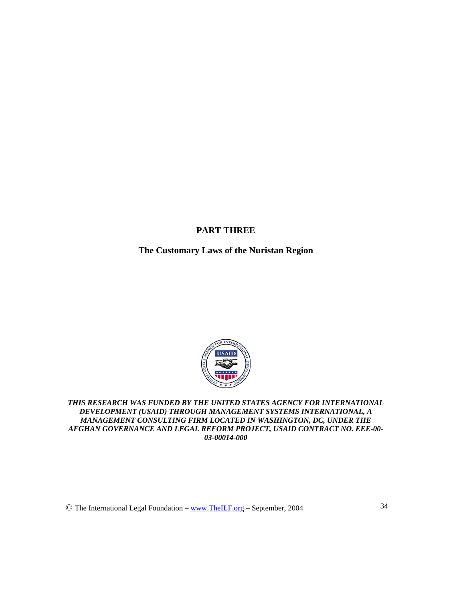# **PART THREE**

# **The Customary Laws of the Nuristan Region**



*THIS RESEARCH WAS FUNDED BY THE UNITED STATES AGENCY FOR INTERNATIONAL DEVELOPMENT (USAID) THROUGH MANAGEMENT SYSTEMS INTERNATIONAL, A MANAGEMENT CONSULTING FIRM LOCATED IN WASHINGTON, DC, UNDER THE AFGHAN GOVERNANCE AND LEGAL REFORM PROJECT, USAID CONTRACT NO. EEE-00- 03-00014-000* 

© The International Legal Foundation – www.TheILF.org – September, 2004 34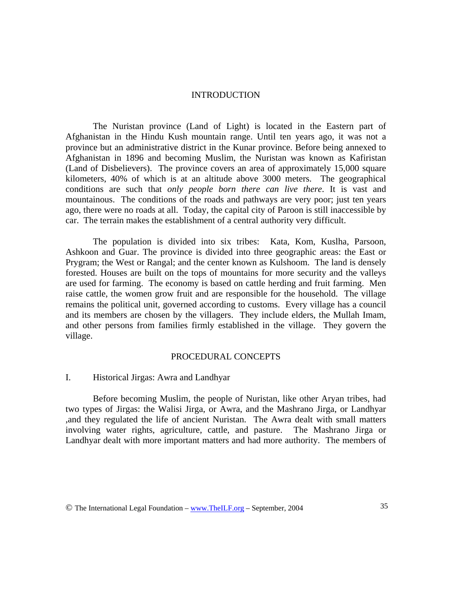#### INTRODUCTION

 The Nuristan province (Land of Light) is located in the Eastern part of Afghanistan in the Hindu Kush mountain range. Until ten years ago, it was not a province but an administrative district in the Kunar province. Before being annexed to Afghanistan in 1896 and becoming Muslim, the Nuristan was known as Kafiristan (Land of Disbelievers). The province covers an area of approximately 15,000 square kilometers, 40% of which is at an altitude above 3000 meters. The geographical conditions are such that *only people born there can live there*. It is vast and mountainous. The conditions of the roads and pathways are very poor; just ten years ago, there were no roads at all. Today, the capital city of Paroon is still inaccessible by car. The terrain makes the establishment of a central authority very difficult.

 The population is divided into six tribes: Kata, Kom, Kuslha, Parsoon, Ashkoon and Guar. The province is divided into three geographic areas: the East or Prygram; the West or Rangal; and the center known as Kulshoom. The land is densely forested. Houses are built on the tops of mountains for more security and the valleys are used for farming. The economy is based on cattle herding and fruit farming. Men raise cattle, the women grow fruit and are responsible for the household. The village remains the political unit, governed according to customs. Every village has a council and its members are chosen by the villagers. They include elders, the Mullah Imam, and other persons from families firmly established in the village. They govern the village.

#### PROCEDURAL CONCEPTS

## I. Historical Jirgas: Awra and Landhyar

 Before becoming Muslim, the people of Nuristan, like other Aryan tribes, had two types of Jirgas: the Walisi Jirga, or Awra, and the Mashrano Jirga, or Landhyar ,and they regulated the life of ancient Nuristan. The Awra dealt with small matters involving water rights, agriculture, cattle, and pasture. The Mashrano Jirga or Landhyar dealt with more important matters and had more authority. The members of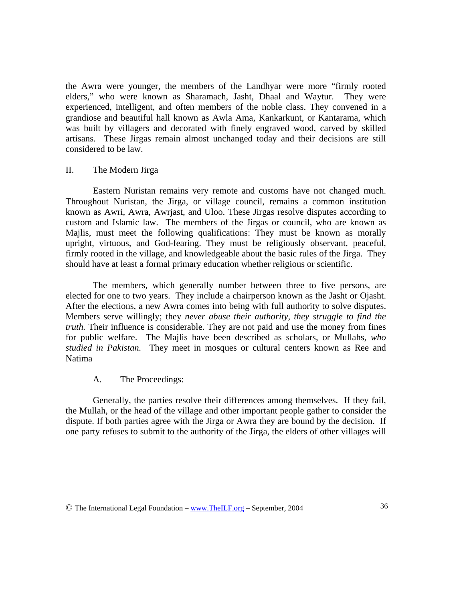the Awra were younger, the members of the Landhyar were more "firmly rooted elders," who were known as Sharamach, Jasht, Dhaal and Waytur. They were experienced, intelligent, and often members of the noble class. They convened in a grandiose and beautiful hall known as Awla Ama, Kankarkunt, or Kantarama, which was built by villagers and decorated with finely engraved wood, carved by skilled artisans. These Jirgas remain almost unchanged today and their decisions are still considered to be law.

## II. The Modern Jirga

 Eastern Nuristan remains very remote and customs have not changed much. Throughout Nuristan, the Jirga, or village council, remains a common institution known as Awri, Awra, Awrjast, and Uloo. These Jirgas resolve disputes according to custom and Islamic law. The members of the Jirgas or council, who are known as Majlis, must meet the following qualifications: They must be known as morally upright, virtuous, and God-fearing. They must be religiously observant, peaceful, firmly rooted in the village, and knowledgeable about the basic rules of the Jirga. They should have at least a formal primary education whether religious or scientific.

 The members, which generally number between three to five persons, are elected for one to two years. They include a chairperson known as the Jasht or Ojasht. After the elections, a new Awra comes into being with full authority to solve disputes. Members serve willingly; they *never abuse their authority, they struggle to find the truth.* Their influence is considerable. They are not paid and use the money from fines for public welfare. The Majlis have been described as scholars, or Mullahs, *who studied in Pakistan.* They meet in mosques or cultural centers known as Ree and Natima

## A. The Proceedings:

 Generally, the parties resolve their differences among themselves. If they fail, the Mullah, or the head of the village and other important people gather to consider the dispute. If both parties agree with the Jirga or Awra they are bound by the decision. If one party refuses to submit to the authority of the Jirga, the elders of other villages will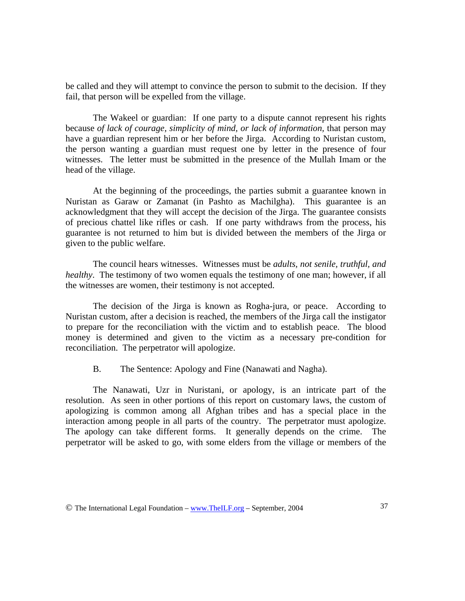be called and they will attempt to convince the person to submit to the decision. If they fail, that person will be expelled from the village.

 The Wakeel or guardian: If one party to a dispute cannot represent his rights because *of lack of courage, simplicity of mind, or lack of information, that person may* have a guardian represent him or her before the Jirga. According to Nuristan custom, the person wanting a guardian must request one by letter in the presence of four witnesses. The letter must be submitted in the presence of the Mullah Imam or the head of the village.

 At the beginning of the proceedings, the parties submit a guarantee known in Nuristan as Garaw or Zamanat (in Pashto as Machilgha). This guarantee is an acknowledgment that they will accept the decision of the Jirga. The guarantee consists of precious chattel like rifles or cash. If one party withdraws from the process, his guarantee is not returned to him but is divided between the members of the Jirga or given to the public welfare.

 The council hears witnesses. Witnesses must be *adults, not senile, truthful, and healthy*. The testimony of two women equals the testimony of one man; however, if all the witnesses are women, their testimony is not accepted.

 The decision of the Jirga is known as Rogha-jura, or peace. According to Nuristan custom, after a decision is reached, the members of the Jirga call the instigator to prepare for the reconciliation with the victim and to establish peace. The blood money is determined and given to the victim as a necessary pre-condition for reconciliation. The perpetrator will apologize.

B. The Sentence: Apology and Fine (Nanawati and Nagha).

 The Nanawati, Uzr in Nuristani, or apology, is an intricate part of the resolution. As seen in other portions of this report on customary laws, the custom of apologizing is common among all Afghan tribes and has a special place in the interaction among people in all parts of the country. The perpetrator must apologize. The apology can take different forms. It generally depends on the crime. The perpetrator will be asked to go, with some elders from the village or members of the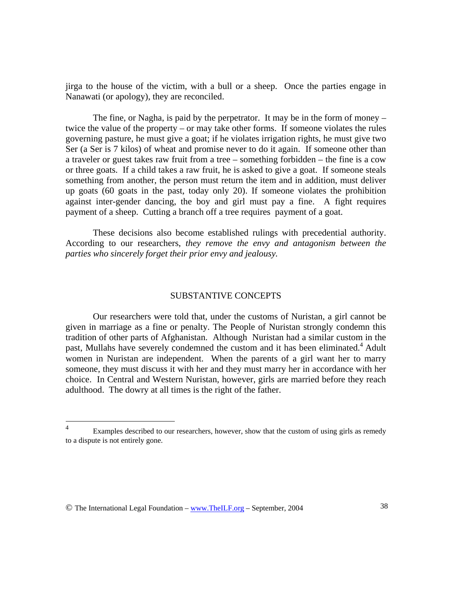jirga to the house of the victim, with a bull or a sheep. Once the parties engage in Nanawati (or apology), they are reconciled.

 The fine, or Nagha, is paid by the perpetrator. It may be in the form of money – twice the value of the property – or may take other forms. If someone violates the rules governing pasture, he must give a goat; if he violates irrigation rights, he must give two Ser (a Ser is 7 kilos) of wheat and promise never to do it again. If someone other than a traveler or guest takes raw fruit from a tree – something forbidden – the fine is a cow or three goats. If a child takes a raw fruit, he is asked to give a goat. If someone steals something from another, the person must return the item and in addition, must deliver up goats (60 goats in the past, today only 20). If someone violates the prohibition against inter-gender dancing, the boy and girl must pay a fine. A fight requires payment of a sheep. Cutting a branch off a tree requires payment of a goat.

These decisions also become established rulings with precedential authority. According to our researchers, *they remove the envy and antagonism between the parties who sincerely forget their prior envy and jealousy.*

#### SUBSTANTIVE CONCEPTS

 Our researchers were told that, under the customs of Nuristan, a girl cannot be given in marriage as a fine or penalty. The People of Nuristan strongly condemn this tradition of other parts of Afghanistan. Although Nuristan had a similar custom in the past, Mullahs have severely condemned the custom and it has been eliminated.<sup>4</sup> Adult women in Nuristan are independent. When the parents of a girl want her to marry someone, they must discuss it with her and they must marry her in accordance with her choice. In Central and Western Nuristan, however, girls are married before they reach adulthood. The dowry at all times is the right of the father.

© The International Legal Foundation – www.TheILF.org – September, 2004 38

 $\frac{1}{4}$  Examples described to our researchers, however, show that the custom of using girls as remedy to a dispute is not entirely gone.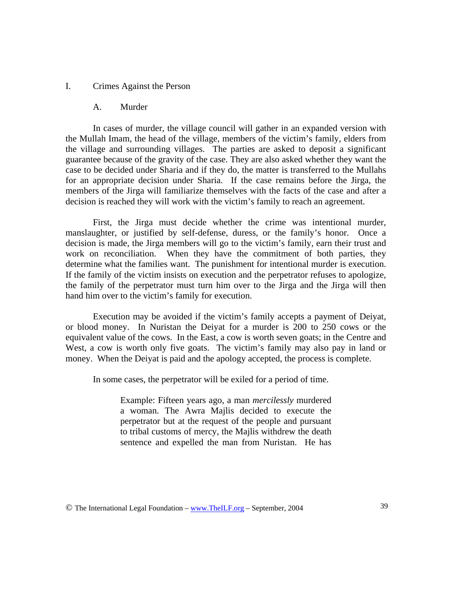## I. Crimes Against the Person

#### A. Murder

 In cases of murder, the village council will gather in an expanded version with the Mullah Imam, the head of the village, members of the victim's family, elders from the village and surrounding villages. The parties are asked to deposit a significant guarantee because of the gravity of the case. They are also asked whether they want the case to be decided under Sharia and if they do, the matter is transferred to the Mullahs for an appropriate decision under Sharia. If the case remains before the Jirga, the members of the Jirga will familiarize themselves with the facts of the case and after a decision is reached they will work with the victim's family to reach an agreement.

 First, the Jirga must decide whether the crime was intentional murder, manslaughter, or justified by self-defense, duress, or the family's honor. Once a decision is made, the Jirga members will go to the victim's family, earn their trust and work on reconciliation. When they have the commitment of both parties, they determine what the families want. The punishment for intentional murder is execution. If the family of the victim insists on execution and the perpetrator refuses to apologize, the family of the perpetrator must turn him over to the Jirga and the Jirga will then hand him over to the victim's family for execution.

 Execution may be avoided if the victim's family accepts a payment of Deiyat, or blood money. In Nuristan the Deiyat for a murder is 200 to 250 cows or the equivalent value of the cows. In the East, a cow is worth seven goats; in the Centre and West, a cow is worth only five goats. The victim's family may also pay in land or money. When the Deiyat is paid and the apology accepted, the process is complete.

In some cases, the perpetrator will be exiled for a period of time.

Example: Fifteen years ago, a man *mercilessly* murdered a woman. The Awra Majlis decided to execute the perpetrator but at the request of the people and pursuant to tribal customs of mercy, the Majlis withdrew the death sentence and expelled the man from Nuristan. He has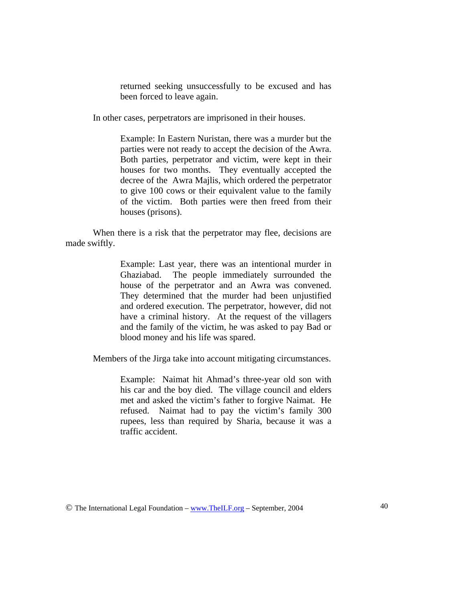returned seeking unsuccessfully to be excused and has been forced to leave again.

In other cases, perpetrators are imprisoned in their houses.

Example: In Eastern Nuristan, there was a murder but the parties were not ready to accept the decision of the Awra. Both parties, perpetrator and victim, were kept in their houses for two months. They eventually accepted the decree of the Awra Majlis, which ordered the perpetrator to give 100 cows or their equivalent value to the family of the victim. Both parties were then freed from their houses (prisons).

 When there is a risk that the perpetrator may flee, decisions are made swiftly.

> Example: Last year, there was an intentional murder in Ghaziabad. The people immediately surrounded the house of the perpetrator and an Awra was convened. They determined that the murder had been unjustified and ordered execution. The perpetrator, however, did not have a criminal history. At the request of the villagers and the family of the victim, he was asked to pay Bad or blood money and his life was spared.

Members of the Jirga take into account mitigating circumstances.

Example: Naimat hit Ahmad's three-year old son with his car and the boy died. The village council and elders met and asked the victim's father to forgive Naimat. He refused. Naimat had to pay the victim's family 300 rupees, less than required by Sharia, because it was a traffic accident.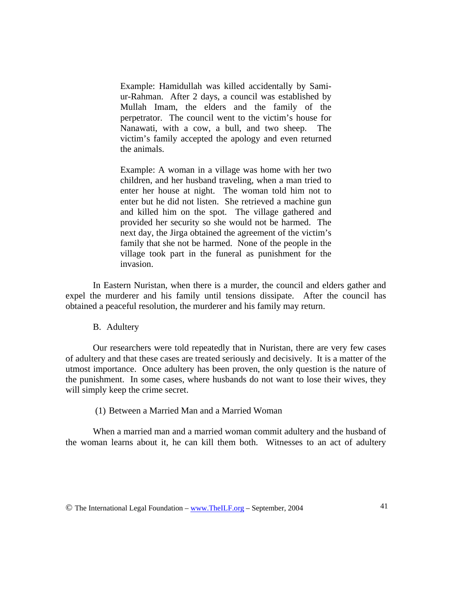Example: Hamidullah was killed accidentally by Samiur-Rahman. After 2 days, a council was established by Mullah Imam, the elders and the family of the perpetrator. The council went to the victim's house for Nanawati, with a cow, a bull, and two sheep. The victim's family accepted the apology and even returned the animals.

Example: A woman in a village was home with her two children, and her husband traveling, when a man tried to enter her house at night. The woman told him not to enter but he did not listen. She retrieved a machine gun and killed him on the spot. The village gathered and provided her security so she would not be harmed. The next day, the Jirga obtained the agreement of the victim's family that she not be harmed. None of the people in the village took part in the funeral as punishment for the invasion.

In Eastern Nuristan, when there is a murder, the council and elders gather and expel the murderer and his family until tensions dissipate. After the council has obtained a peaceful resolution, the murderer and his family may return.

## B. Adultery

 Our researchers were told repeatedly that in Nuristan, there are very few cases of adultery and that these cases are treated seriously and decisively. It is a matter of the utmost importance. Once adultery has been proven, the only question is the nature of the punishment. In some cases, where husbands do not want to lose their wives, they will simply keep the crime secret.

#### (1) Between a Married Man and a Married Woman

 When a married man and a married woman commit adultery and the husband of the woman learns about it, he can kill them both. Witnesses to an act of adultery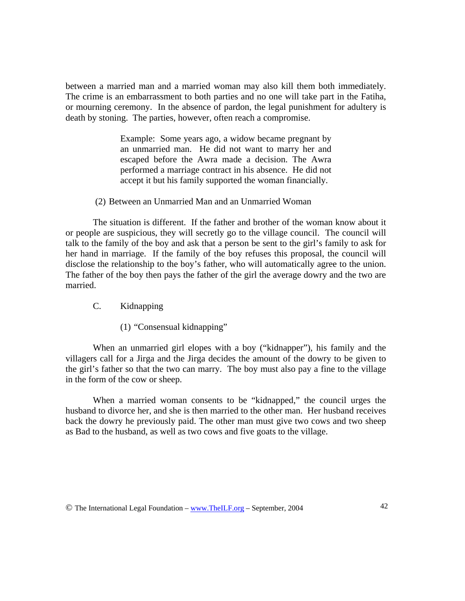between a married man and a married woman may also kill them both immediately. The crime is an embarrassment to both parties and no one will take part in the Fatiha, or mourning ceremony. In the absence of pardon, the legal punishment for adultery is death by stoning. The parties, however, often reach a compromise.

> Example: Some years ago, a widow became pregnant by an unmarried man. He did not want to marry her and escaped before the Awra made a decision. The Awra performed a marriage contract in his absence. He did not accept it but his family supported the woman financially.

#### (2) Between an Unmarried Man and an Unmarried Woman

 The situation is different. If the father and brother of the woman know about it or people are suspicious, they will secretly go to the village council. The council will talk to the family of the boy and ask that a person be sent to the girl's family to ask for her hand in marriage. If the family of the boy refuses this proposal, the council will disclose the relationship to the boy's father, who will automatically agree to the union. The father of the boy then pays the father of the girl the average dowry and the two are married.

#### C. Kidnapping

(1) "Consensual kidnapping"

 When an unmarried girl elopes with a boy ("kidnapper"), his family and the villagers call for a Jirga and the Jirga decides the amount of the dowry to be given to the girl's father so that the two can marry. The boy must also pay a fine to the village in the form of the cow or sheep.

 When a married woman consents to be "kidnapped," the council urges the husband to divorce her, and she is then married to the other man. Her husband receives back the dowry he previously paid. The other man must give two cows and two sheep as Bad to the husband, as well as two cows and five goats to the village.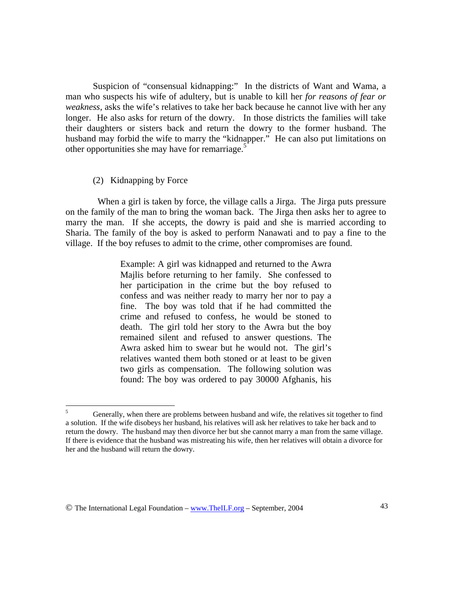Suspicion of "consensual kidnapping:" In the districts of Want and Wama, a man who suspects his wife of adultery, but is unable to kill her *for reasons of fear or weakness,* asks the wife's relatives to take her back because he cannot live with her any longer. He also asks for return of the dowry. In those districts the families will take their daughters or sisters back and return the dowry to the former husband. The husband may forbid the wife to marry the "kidnapper." He can also put limitations on other opportunities she may have for remarriage.<sup>5</sup>

#### (2) Kidnapping by Force

 When a girl is taken by force, the village calls a Jirga. The Jirga puts pressure on the family of the man to bring the woman back. The Jirga then asks her to agree to marry the man. If she accepts, the dowry is paid and she is married according to Sharia. The family of the boy is asked to perform Nanawati and to pay a fine to the village. If the boy refuses to admit to the crime, other compromises are found.

> Example: A girl was kidnapped and returned to the Awra Majlis before returning to her family. She confessed to her participation in the crime but the boy refused to confess and was neither ready to marry her nor to pay a fine. The boy was told that if he had committed the crime and refused to confess, he would be stoned to death. The girl told her story to the Awra but the boy remained silent and refused to answer questions. The Awra asked him to swear but he would not. The girl's relatives wanted them both stoned or at least to be given two girls as compensation. The following solution was found: The boy was ordered to pay 30000 Afghanis, his

 $\frac{1}{5}$  Generally, when there are problems between husband and wife, the relatives sit together to find a solution. If the wife disobeys her husband, his relatives will ask her relatives to take her back and to return the dowry. The husband may then divorce her but she cannot marry a man from the same village. If there is evidence that the husband was mistreating his wife, then her relatives will obtain a divorce for her and the husband will return the dowry.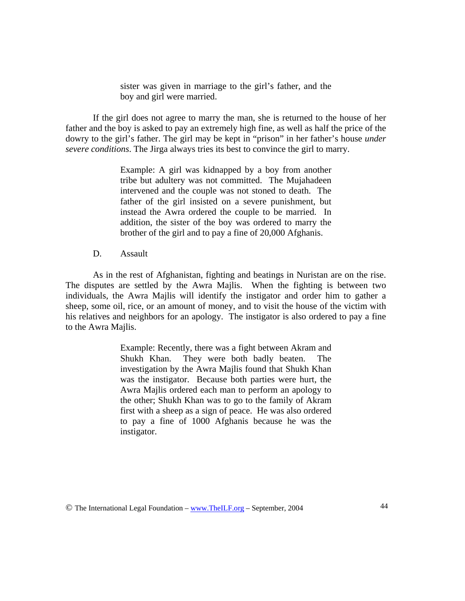sister was given in marriage to the girl's father, and the boy and girl were married.

 If the girl does not agree to marry the man, she is returned to the house of her father and the boy is asked to pay an extremely high fine, as well as half the price of the dowry to the girl's father. The girl may be kept in "prison" in her father's house *under severe conditions*. The Jirga always tries its best to convince the girl to marry.

> Example: A girl was kidnapped by a boy from another tribe but adultery was not committed. The Mujahadeen intervened and the couple was not stoned to death. The father of the girl insisted on a severe punishment, but instead the Awra ordered the couple to be married. In addition, the sister of the boy was ordered to marry the brother of the girl and to pay a fine of 20,000 Afghanis.

#### D. Assault

 As in the rest of Afghanistan, fighting and beatings in Nuristan are on the rise. The disputes are settled by the Awra Majlis. When the fighting is between two individuals, the Awra Majlis will identify the instigator and order him to gather a sheep, some oil, rice, or an amount of money, and to visit the house of the victim with his relatives and neighbors for an apology. The instigator is also ordered to pay a fine to the Awra Majlis.

> Example: Recently, there was a fight between Akram and Shukh Khan. They were both badly beaten. The investigation by the Awra Majlis found that Shukh Khan was the instigator. Because both parties were hurt, the Awra Majlis ordered each man to perform an apology to the other; Shukh Khan was to go to the family of Akram first with a sheep as a sign of peace. He was also ordered to pay a fine of 1000 Afghanis because he was the instigator.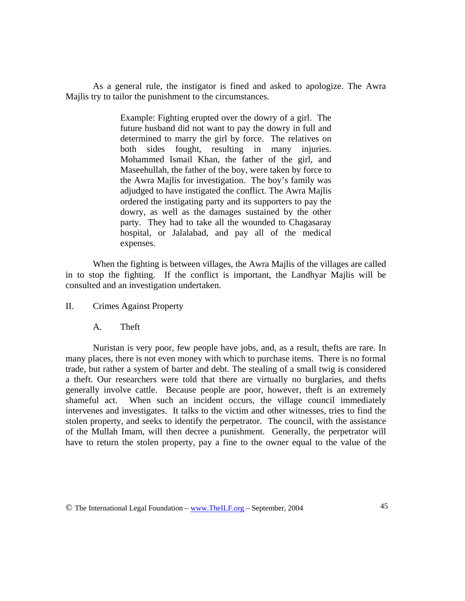As a general rule, the instigator is fined and asked to apologize. The Awra Majlis try to tailor the punishment to the circumstances.

> Example: Fighting erupted over the dowry of a girl. The future husband did not want to pay the dowry in full and determined to marry the girl by force. The relatives on both sides fought, resulting in many injuries. Mohammed Ismail Khan, the father of the girl, and Maseehullah, the father of the boy, were taken by force to the Awra Majlis for investigation. The boy's family was adjudged to have instigated the conflict. The Awra Majlis ordered the instigating party and its supporters to pay the dowry, as well as the damages sustained by the other party. They had to take all the wounded to Chagasaray hospital, or Jalalabad, and pay all of the medical expenses.

 When the fighting is between villages, the Awra Majlis of the villages are called in to stop the fighting. If the conflict is important, the Landhyar Majlis will be consulted and an investigation undertaken.

- II. Crimes Against Property
	- A. Theft

 Nuristan is very poor, few people have jobs, and, as a result, thefts are rare. In many places, there is not even money with which to purchase items. There is no formal trade, but rather a system of barter and debt. The stealing of a small twig is considered a theft. Our researchers were told that there are virtually no burglaries, and thefts generally involve cattle. Because people are poor, however, theft is an extremely shameful act. When such an incident occurs, the village council immediately intervenes and investigates. It talks to the victim and other witnesses, tries to find the stolen property, and seeks to identify the perpetrator. The council, with the assistance of the Mullah Imam, will then decree a punishment. Generally, the perpetrator will have to return the stolen property, pay a fine to the owner equal to the value of the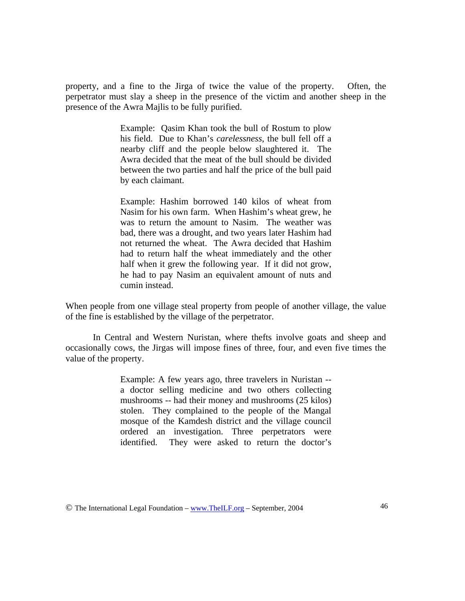property, and a fine to the Jirga of twice the value of the property. Often, the perpetrator must slay a sheep in the presence of the victim and another sheep in the presence of the Awra Majlis to be fully purified.

> Example: Qasim Khan took the bull of Rostum to plow his field. Due to Khan's *carelessness*, the bull fell off a nearby cliff and the people below slaughtered it. The Awra decided that the meat of the bull should be divided between the two parties and half the price of the bull paid by each claimant.

> Example: Hashim borrowed 140 kilos of wheat from Nasim for his own farm. When Hashim's wheat grew, he was to return the amount to Nasim. The weather was bad, there was a drought, and two years later Hashim had not returned the wheat. The Awra decided that Hashim had to return half the wheat immediately and the other half when it grew the following year. If it did not grow, he had to pay Nasim an equivalent amount of nuts and cumin instead.

When people from one village steal property from people of another village, the value of the fine is established by the village of the perpetrator.

 In Central and Western Nuristan, where thefts involve goats and sheep and occasionally cows, the Jirgas will impose fines of three, four, and even five times the value of the property.

> Example: A few years ago, three travelers in Nuristan - a doctor selling medicine and two others collecting mushrooms -- had their money and mushrooms (25 kilos) stolen. They complained to the people of the Mangal mosque of the Kamdesh district and the village council ordered an investigation. Three perpetrators were identified. They were asked to return the doctor's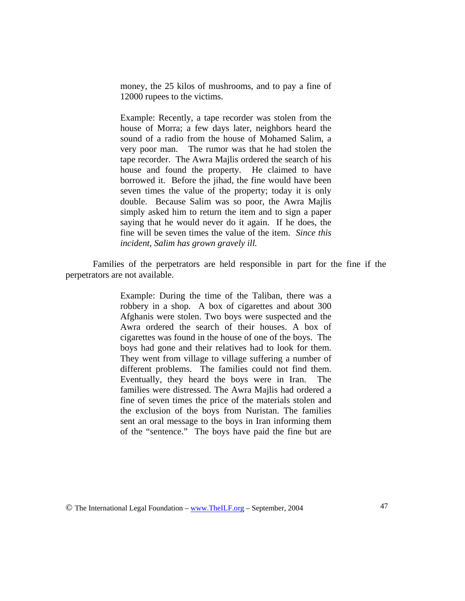money, the 25 kilos of mushrooms, and to pay a fine of 12000 rupees to the victims.

Example: Recently, a tape recorder was stolen from the house of Morra; a few days later, neighbors heard the sound of a radio from the house of Mohamed Salim, a very poor man. The rumor was that he had stolen the tape recorder. The Awra Majlis ordered the search of his house and found the property. He claimed to have borrowed it. Before the jihad, the fine would have been seven times the value of the property; today it is only double. Because Salim was so poor, the Awra Majlis simply asked him to return the item and to sign a paper saying that he would never do it again. If he does, the fine will be seven times the value of the item. *Since this incident, Salim has grown gravely ill.* 

Families of the perpetrators are held responsible in part for the fine if the perpetrators are not available.

> Example: During the time of the Taliban, there was a robbery in a shop. A box of cigarettes and about 300 Afghanis were stolen. Two boys were suspected and the Awra ordered the search of their houses. A box of cigarettes was found in the house of one of the boys. The boys had gone and their relatives had to look for them. They went from village to village suffering a number of different problems. The families could not find them. Eventually, they heard the boys were in Iran. The families were distressed. The Awra Majlis had ordered a fine of seven times the price of the materials stolen and the exclusion of the boys from Nuristan. The families sent an oral message to the boys in Iran informing them of the "sentence." The boys have paid the fine but are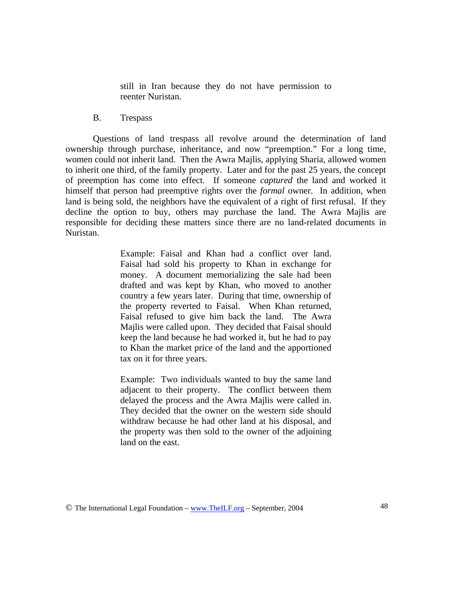still in Iran because they do not have permission to reenter Nuristan.

#### B. Trespass

 Questions of land trespass all revolve around the determination of land ownership through purchase, inheritance, and now "preemption." For a long time, women could not inherit land. Then the Awra Majlis, applying Sharia, allowed women to inherit one third, of the family property. Later and for the past 25 years, the concept of preemption has come into effect. If someone *captured* the land and worked it himself that person had preemptive rights over the *formal* owner. In addition, when land is being sold, the neighbors have the equivalent of a right of first refusal. If they decline the option to buy, others may purchase the land. The Awra Majlis are responsible for deciding these matters since there are no land-related documents in Nuristan.

> Example: Faisal and Khan had a conflict over land. Faisal had sold his property to Khan in exchange for money. A document memorializing the sale had been drafted and was kept by Khan, who moved to another country a few years later. During that time, ownership of the property reverted to Faisal. When Khan returned, Faisal refused to give him back the land. The Awra Majlis were called upon. They decided that Faisal should keep the land because he had worked it, but he had to pay to Khan the market price of the land and the apportioned tax on it for three years.

> Example: Two individuals wanted to buy the same land adjacent to their property. The conflict between them delayed the process and the Awra Majlis were called in. They decided that the owner on the western side should withdraw because he had other land at his disposal, and the property was then sold to the owner of the adjoining land on the east.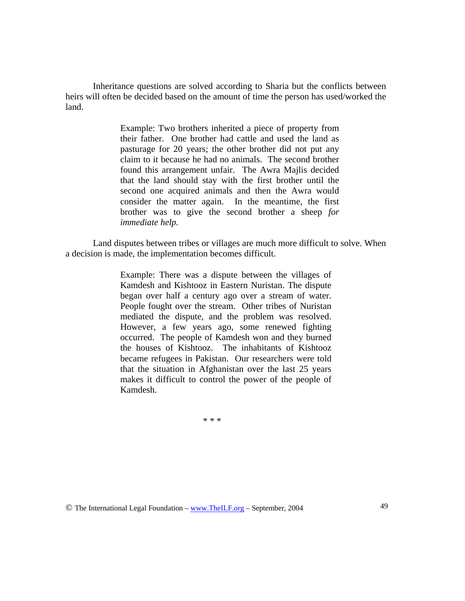Inheritance questions are solved according to Sharia but the conflicts between heirs will often be decided based on the amount of time the person has used/worked the land.

> Example: Two brothers inherited a piece of property from their father. One brother had cattle and used the land as pasturage for 20 years; the other brother did not put any claim to it because he had no animals. The second brother found this arrangement unfair. The Awra Majlis decided that the land should stay with the first brother until the second one acquired animals and then the Awra would consider the matter again. In the meantime, the first brother was to give the second brother a sheep *for immediate help.*

 Land disputes between tribes or villages are much more difficult to solve. When a decision is made, the implementation becomes difficult.

> Example: There was a dispute between the villages of Kamdesh and Kishtooz in Eastern Nuristan. The dispute began over half a century ago over a stream of water. People fought over the stream. Other tribes of Nuristan mediated the dispute, and the problem was resolved. However, a few years ago, some renewed fighting occurred. The people of Kamdesh won and they burned the houses of Kishtooz. The inhabitants of Kishtooz became refugees in Pakistan. Our researchers were told that the situation in Afghanistan over the last 25 years makes it difficult to control the power of the people of Kamdesh.

> > \* \* \*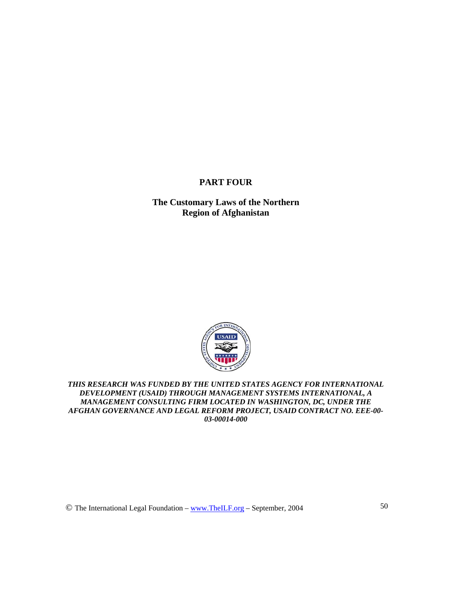# **PART FOUR**

**The Customary Laws of the Northern Region of Afghanistan** 



*THIS RESEARCH WAS FUNDED BY THE UNITED STATES AGENCY FOR INTERNATIONAL DEVELOPMENT (USAID) THROUGH MANAGEMENT SYSTEMS INTERNATIONAL, A MANAGEMENT CONSULTING FIRM LOCATED IN WASHINGTON, DC, UNDER THE AFGHAN GOVERNANCE AND LEGAL REFORM PROJECT, USAID CONTRACT NO. EEE-00- 03-00014-000* 

© The International Legal Foundation – www.TheILF.org – September, 2004 50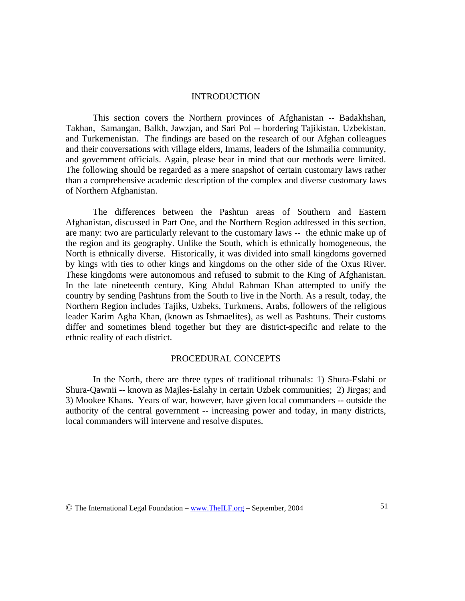#### INTRODUCTION

 This section covers the Northern provinces of Afghanistan -- Badakhshan, Takhan, Samangan, Balkh, Jawzjan, and Sari Pol -- bordering Tajikistan, Uzbekistan, and Turkemenistan. The findings are based on the research of our Afghan colleagues and their conversations with village elders, Imams, leaders of the Ishmailia community, and government officials. Again, please bear in mind that our methods were limited. The following should be regarded as a mere snapshot of certain customary laws rather than a comprehensive academic description of the complex and diverse customary laws of Northern Afghanistan.

 The differences between the Pashtun areas of Southern and Eastern Afghanistan, discussed in Part One, and the Northern Region addressed in this section, are many: two are particularly relevant to the customary laws -- the ethnic make up of the region and its geography. Unlike the South, which is ethnically homogeneous, the North is ethnically diverse. Historically, it was divided into small kingdoms governed by kings with ties to other kings and kingdoms on the other side of the Oxus River. These kingdoms were autonomous and refused to submit to the King of Afghanistan. In the late nineteenth century, King Abdul Rahman Khan attempted to unify the country by sending Pashtuns from the South to live in the North. As a result, today, the Northern Region includes Tajiks, Uzbeks, Turkmens, Arabs, followers of the religious leader Karim Agha Khan, (known as Ishmaelites), as well as Pashtuns. Their customs differ and sometimes blend together but they are district-specific and relate to the ethnic reality of each district.

#### PROCEDURAL CONCEPTS

 In the North, there are three types of traditional tribunals: 1) Shura-Eslahi or Shura-Qawnii -- known as Majles-Eslahy in certain Uzbek communities; 2) Jirgas; and 3) Mookee Khans. Years of war, however, have given local commanders -- outside the authority of the central government -- increasing power and today, in many districts, local commanders will intervene and resolve disputes.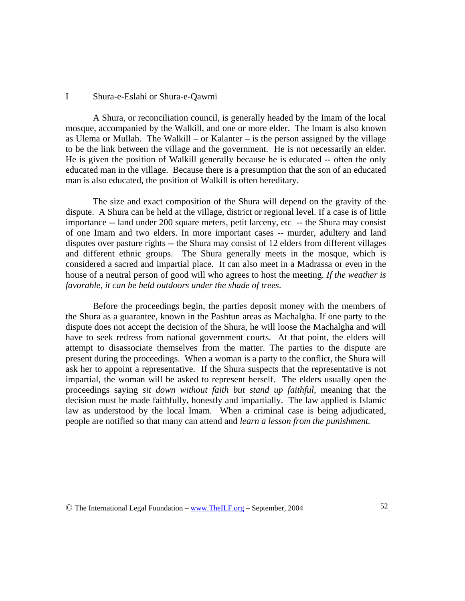## I Shura-e-Eslahi or Shura-e-Qawmi

 A Shura, or reconciliation council, is generally headed by the Imam of the local mosque, accompanied by the Walkill, and one or more elder. The Imam is also known as Ulema or Mullah. The Walkill – or Kalanter – is the person assigned by the village to be the link between the village and the government. He is not necessarily an elder. He is given the position of Walkill generally because he is educated -- often the only educated man in the village. Because there is a presumption that the son of an educated man is also educated, the position of Walkill is often hereditary.

 The size and exact composition of the Shura will depend on the gravity of the dispute. A Shura can be held at the village, district or regional level. If a case is of little importance -- land under 200 square meters, petit larceny, etc -- the Shura may consist of one Imam and two elders. In more important cases -- murder, adultery and land disputes over pasture rights -- the Shura may consist of 12 elders from different villages and different ethnic groups. The Shura generally meets in the mosque, which is considered a sacred and impartial place. It can also meet in a Madrassa or even in the house of a neutral person of good will who agrees to host the meeting. *If the weather is favorable, it can be held outdoors under the shade of trees*.

 Before the proceedings begin, the parties deposit money with the members of the Shura as a guarantee, known in the Pashtun areas as Machalgha. If one party to the dispute does not accept the decision of the Shura, he will loose the Machalgha and will have to seek redress from national government courts. At that point, the elders will attempt to disassociate themselves from the matter. The parties to the dispute are present during the proceedings. When a woman is a party to the conflict, the Shura will ask her to appoint a representative. If the Shura suspects that the representative is not impartial, the woman will be asked to represent herself. The elders usually open the proceedings saying *sit down without faith but stand up faithful,* meaning that the decision must be made faithfully, honestly and impartially. The law applied is Islamic law as understood by the local Imam. When a criminal case is being adjudicated, people are notified so that many can attend and *learn a lesson from the punishment.*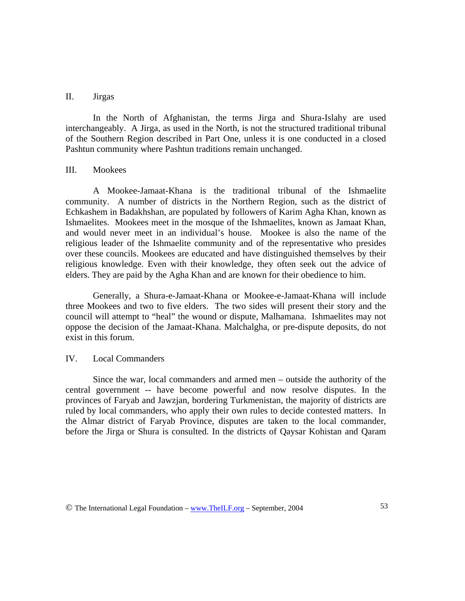#### II. Jirgas

 In the North of Afghanistan, the terms Jirga and Shura-Islahy are used interchangeably. A Jirga, as used in the North, is not the structured traditional tribunal of the Southern Region described in Part One, unless it is one conducted in a closed Pashtun community where Pashtun traditions remain unchanged.

#### III. Mookees

 A Mookee-Jamaat-Khana is the traditional tribunal of the Ishmaelite community. A number of districts in the Northern Region, such as the district of Echkashem in Badakhshan, are populated by followers of Karim Agha Khan, known as Ishmaelites. Mookees meet in the mosque of the Ishmaelites, known as Jamaat Khan, and would never meet in an individual's house. Mookee is also the name of the religious leader of the Ishmaelite community and of the representative who presides over these councils. Mookees are educated and have distinguished themselves by their religious knowledge. Even with their knowledge, they often seek out the advice of elders. They are paid by the Agha Khan and are known for their obedience to him.

 Generally, a Shura-e-Jamaat-Khana or Mookee-e-Jamaat-Khana will include three Mookees and two to five elders. The two sides will present their story and the council will attempt to "heal" the wound or dispute, Malhamana. Ishmaelites may not oppose the decision of the Jamaat-Khana. Malchalgha, or pre-dispute deposits, do not exist in this forum.

#### IV. Local Commanders

 Since the war, local commanders and armed men – outside the authority of the central government -- have become powerful and now resolve disputes. In the provinces of Faryab and Jawzjan, bordering Turkmenistan, the majority of districts are ruled by local commanders, who apply their own rules to decide contested matters. In the Almar district of Faryab Province, disputes are taken to the local commander, before the Jirga or Shura is consulted. In the districts of Qaysar Kohistan and Qaram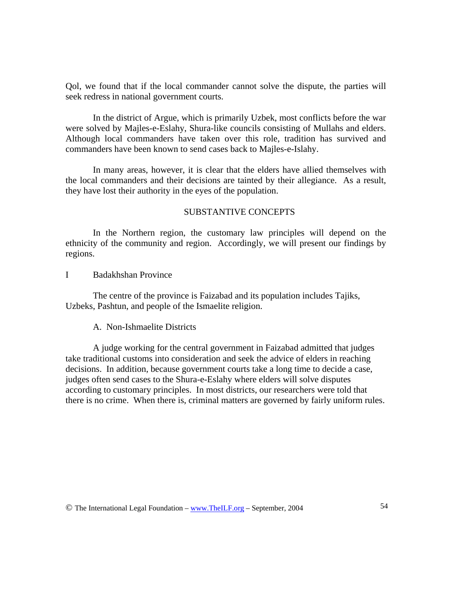Qol, we found that if the local commander cannot solve the dispute, the parties will seek redress in national government courts.

In the district of Argue, which is primarily Uzbek, most conflicts before the war were solved by Majles-e-Eslahy, Shura-like councils consisting of Mullahs and elders. Although local commanders have taken over this role, tradition has survived and commanders have been known to send cases back to Majles-e-Islahy.

In many areas, however, it is clear that the elders have allied themselves with the local commanders and their decisions are tainted by their allegiance. As a result, they have lost their authority in the eyes of the population.

#### SUBSTANTIVE CONCEPTS

In the Northern region, the customary law principles will depend on the ethnicity of the community and region. Accordingly, we will present our findings by regions.

I Badakhshan Province

The centre of the province is Faizabad and its population includes Tajiks, Uzbeks, Pashtun, and people of the Ismaelite religion.

#### A. Non-Ishmaelite Districts

A judge working for the central government in Faizabad admitted that judges take traditional customs into consideration and seek the advice of elders in reaching decisions. In addition, because government courts take a long time to decide a case, judges often send cases to the Shura-e-Eslahy where elders will solve disputes according to customary principles. In most districts, our researchers were told that there is no crime. When there is, criminal matters are governed by fairly uniform rules.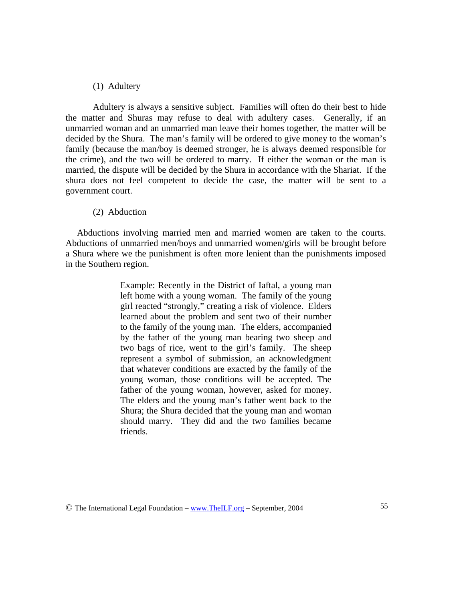#### (1) Adultery

 Adultery is always a sensitive subject. Families will often do their best to hide the matter and Shuras may refuse to deal with adultery cases. Generally, if an unmarried woman and an unmarried man leave their homes together, the matter will be decided by the Shura. The man's family will be ordered to give money to the woman's family (because the man/boy is deemed stronger, he is always deemed responsible for the crime), and the two will be ordered to marry. If either the woman or the man is married, the dispute will be decided by the Shura in accordance with the Shariat. If the shura does not feel competent to decide the case, the matter will be sent to a government court.

## (2) Abduction

 Abductions involving married men and married women are taken to the courts. Abductions of unmarried men/boys and unmarried women/girls will be brought before a Shura where we the punishment is often more lenient than the punishments imposed in the Southern region.

> Example: Recently in the District of Iaftal, a young man left home with a young woman. The family of the young girl reacted "strongly," creating a risk of violence. Elders learned about the problem and sent two of their number to the family of the young man. The elders, accompanied by the father of the young man bearing two sheep and two bags of rice, went to the girl's family. The sheep represent a symbol of submission, an acknowledgment that whatever conditions are exacted by the family of the young woman, those conditions will be accepted. The father of the young woman, however, asked for money. The elders and the young man's father went back to the Shura; the Shura decided that the young man and woman should marry. They did and the two families became friends.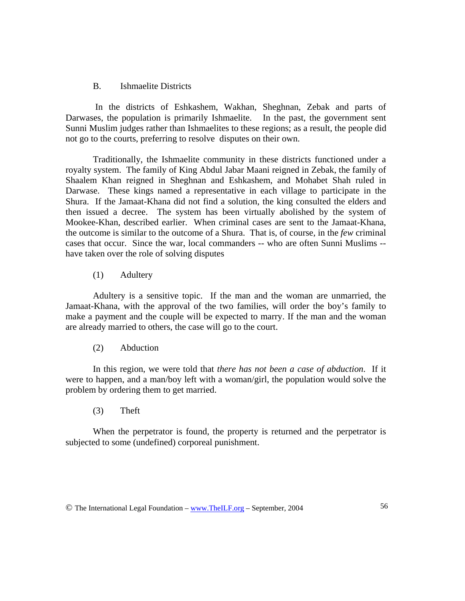# B. Ishmaelite Districts

 In the districts of Eshkashem, Wakhan, Sheghnan, Zebak and parts of Darwases, the population is primarily Ishmaelite. In the past, the government sent Sunni Muslim judges rather than Ishmaelites to these regions; as a result, the people did not go to the courts, preferring to resolve disputes on their own.

 Traditionally, the Ishmaelite community in these districts functioned under a royalty system. The family of King Abdul Jabar Maani reigned in Zebak, the family of Shaalem Khan reigned in Sheghnan and Eshkashem, and Mohabet Shah ruled in Darwase. These kings named a representative in each village to participate in the Shura. If the Jamaat-Khana did not find a solution, the king consulted the elders and then issued a decree. The system has been virtually abolished by the system of Mookee-Khan, described earlier. When criminal cases are sent to the Jamaat-Khana, the outcome is similar to the outcome of a Shura. That is, of course, in the *few* criminal cases that occur. Since the war, local commanders -- who are often Sunni Muslims - have taken over the role of solving disputes

(1) Adultery

 Adultery is a sensitive topic. If the man and the woman are unmarried, the Jamaat-Khana, with the approval of the two families, will order the boy's family to make a payment and the couple will be expected to marry. If the man and the woman are already married to others, the case will go to the court.

(2) Abduction

 In this region, we were told that *there has not been a case of abduction*. If it were to happen, and a man/boy left with a woman/girl, the population would solve the problem by ordering them to get married.

(3) Theft

 When the perpetrator is found, the property is returned and the perpetrator is subjected to some (undefined) corporeal punishment.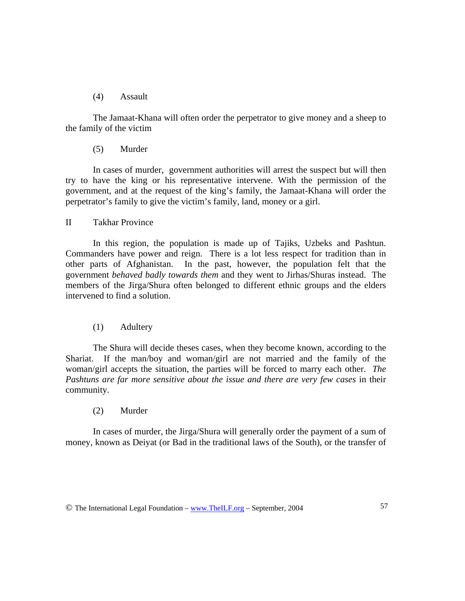# (4) Assault

 The Jamaat-Khana will often order the perpetrator to give money and a sheep to the family of the victim

# (5) Murder

 In cases of murder, government authorities will arrest the suspect but will then try to have the king or his representative intervene. With the permission of the government, and at the request of the king's family, the Jamaat-Khana will order the perpetrator's family to give the victim's family, land, money or a girl.

# II Takhar Province

 In this region, the population is made up of Tajiks, Uzbeks and Pashtun. Commanders have power and reign. There is a lot less respect for tradition than in other parts of Afghanistan. In the past, however, the population felt that the government *behaved badly towards them* and they went to Jirhas/Shuras instead. The members of the Jirga/Shura often belonged to different ethnic groups and the elders intervened to find a solution.

# (1) Adultery

 The Shura will decide theses cases, when they become known, according to the Shariat. If the man/boy and woman/girl are not married and the family of the woman/girl accepts the situation, the parties will be forced to marry each other. *The Pashtuns are far more sensitive about the issue and there are very few cases* in their community.

# (2) Murder

 In cases of murder, the Jirga/Shura will generally order the payment of a sum of money, known as Deiyat (or Bad in the traditional laws of the South), or the transfer of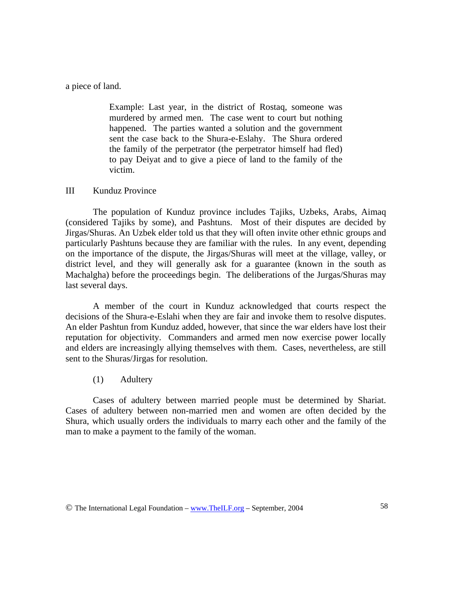a piece of land.

Example: Last year, in the district of Rostaq, someone was murdered by armed men. The case went to court but nothing happened. The parties wanted a solution and the government sent the case back to the Shura-e-Eslahy. The Shura ordered the family of the perpetrator (the perpetrator himself had fled) to pay Deiyat and to give a piece of land to the family of the victim.

# III Kunduz Province

 The population of Kunduz province includes Tajiks, Uzbeks, Arabs, Aimaq (considered Tajiks by some), and Pashtuns. Most of their disputes are decided by Jirgas/Shuras. An Uzbek elder told us that they will often invite other ethnic groups and particularly Pashtuns because they are familiar with the rules. In any event, depending on the importance of the dispute, the Jirgas/Shuras will meet at the village, valley, or district level, and they will generally ask for a guarantee (known in the south as Machalgha) before the proceedings begin. The deliberations of the Jurgas/Shuras may last several days.

 A member of the court in Kunduz acknowledged that courts respect the decisions of the Shura-e-Eslahi when they are fair and invoke them to resolve disputes. An elder Pashtun from Kunduz added, however, that since the war elders have lost their reputation for objectivity. Commanders and armed men now exercise power locally and elders are increasingly allying themselves with them. Cases, nevertheless, are still sent to the Shuras/Jirgas for resolution.

(1) Adultery

 Cases of adultery between married people must be determined by Shariat. Cases of adultery between non-married men and women are often decided by the Shura, which usually orders the individuals to marry each other and the family of the man to make a payment to the family of the woman.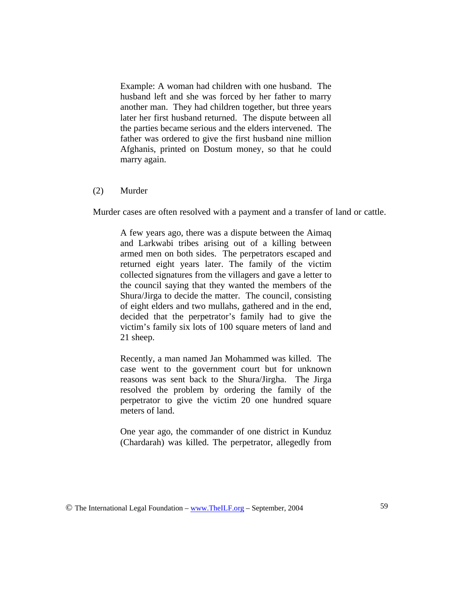Example: A woman had children with one husband. The husband left and she was forced by her father to marry another man. They had children together, but three years later her first husband returned. The dispute between all the parties became serious and the elders intervened. The father was ordered to give the first husband nine million Afghanis, printed on Dostum money, so that he could marry again.

## (2) Murder

Murder cases are often resolved with a payment and a transfer of land or cattle.

A few years ago, there was a dispute between the Aimaq and Larkwabi tribes arising out of a killing between armed men on both sides. The perpetrators escaped and returned eight years later. The family of the victim collected signatures from the villagers and gave a letter to the council saying that they wanted the members of the Shura/Jirga to decide the matter. The council, consisting of eight elders and two mullahs, gathered and in the end, decided that the perpetrator's family had to give the victim's family six lots of 100 square meters of land and 21 sheep.

Recently, a man named Jan Mohammed was killed. The case went to the government court but for unknown reasons was sent back to the Shura/Jirgha. The Jirga resolved the problem by ordering the family of the perpetrator to give the victim 20 one hundred square meters of land.

One year ago, the commander of one district in Kunduz (Chardarah) was killed. The perpetrator, allegedly from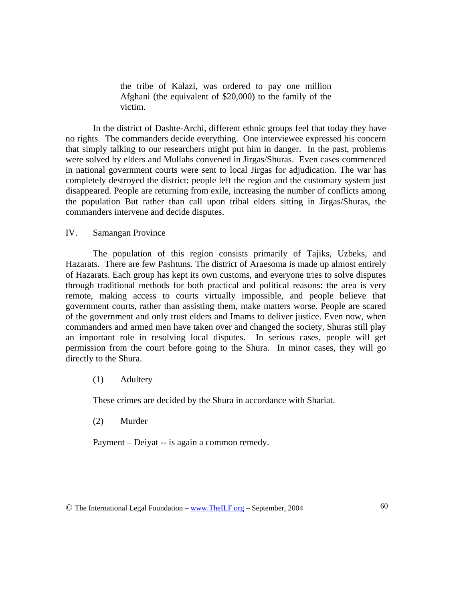the tribe of Kalazi, was ordered to pay one million Afghani (the equivalent of \$20,000) to the family of the victim.

 In the district of Dashte-Archi, different ethnic groups feel that today they have no rights. The commanders decide everything. One interviewee expressed his concern that simply talking to our researchers might put him in danger. In the past, problems were solved by elders and Mullahs convened in Jirgas/Shuras. Even cases commenced in national government courts were sent to local Jirgas for adjudication. The war has completely destroyed the district; people left the region and the customary system just disappeared. People are returning from exile, increasing the number of conflicts among the population But rather than call upon tribal elders sitting in Jirgas/Shuras, the commanders intervene and decide disputes.

IV. Samangan Province

The population of this region consists primarily of Tajiks, Uzbeks, and Hazarats. There are few Pashtuns. The district of Araesoma is made up almost entirely of Hazarats. Each group has kept its own customs, and everyone tries to solve disputes through traditional methods for both practical and political reasons: the area is very remote, making access to courts virtually impossible, and people believe that government courts, rather than assisting them, make matters worse. People are scared of the government and only trust elders and Imams to deliver justice. Even now, when commanders and armed men have taken over and changed the society, Shuras still play an important role in resolving local disputes. In serious cases, people will get permission from the court before going to the Shura. In minor cases, they will go directly to the Shura.

(1) Adultery

These crimes are decided by the Shura in accordance with Shariat.

(2) Murder

Payment – Deiyat -- is again a common remedy.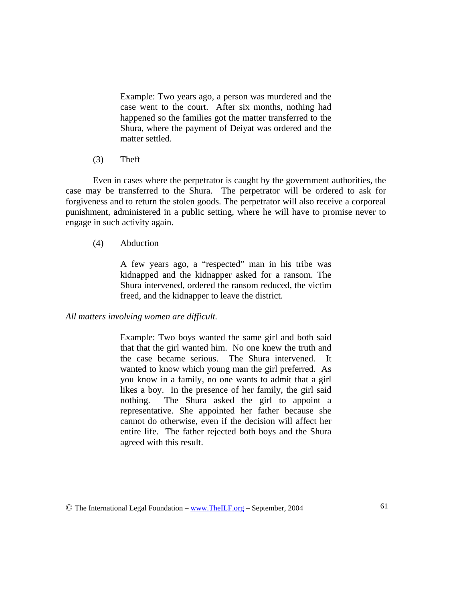Example: Two years ago, a person was murdered and the case went to the court. After six months, nothing had happened so the families got the matter transferred to the Shura, where the payment of Deiyat was ordered and the matter settled.

(3) Theft

 Even in cases where the perpetrator is caught by the government authorities, the case may be transferred to the Shura. The perpetrator will be ordered to ask for forgiveness and to return the stolen goods. The perpetrator will also receive a corporeal punishment, administered in a public setting, where he will have to promise never to engage in such activity again.

(4) Abduction

A few years ago, a "respected" man in his tribe was kidnapped and the kidnapper asked for a ransom. The Shura intervened, ordered the ransom reduced, the victim freed, and the kidnapper to leave the district.

*All matters involving women are difficult.* 

Example: Two boys wanted the same girl and both said that that the girl wanted him. No one knew the truth and the case became serious. The Shura intervened. It wanted to know which young man the girl preferred. As you know in a family, no one wants to admit that a girl likes a boy. In the presence of her family, the girl said nothing. The Shura asked the girl to appoint a representative. She appointed her father because she cannot do otherwise, even if the decision will affect her entire life. The father rejected both boys and the Shura agreed with this result.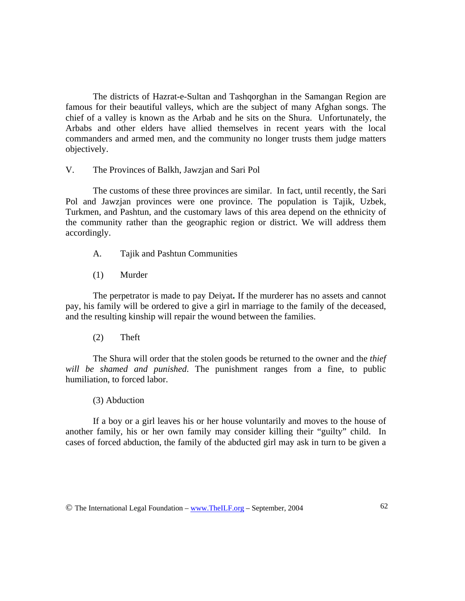The districts of Hazrat-e-Sultan and Tashqorghan in the Samangan Region are famous for their beautiful valleys, which are the subject of many Afghan songs. The chief of a valley is known as the Arbab and he sits on the Shura. Unfortunately, the Arbabs and other elders have allied themselves in recent years with the local commanders and armed men, and the community no longer trusts them judge matters objectively.

# V. The Provinces of Balkh, Jawzjan and Sari Pol

 The customs of these three provinces are similar. In fact, until recently, the Sari Pol and Jawzjan provinces were one province. The population is Tajik, Uzbek, Turkmen, and Pashtun, and the customary laws of this area depend on the ethnicity of the community rather than the geographic region or district. We will address them accordingly.

- A. Tajik and Pashtun Communities
- (1) Murder

 The perpetrator is made to pay Deiyat**.** If the murderer has no assets and cannot pay, his family will be ordered to give a girl in marriage to the family of the deceased, and the resulting kinship will repair the wound between the families.

(2) Theft

 The Shura will order that the stolen goods be returned to the owner and the *thief will be shamed and punished*. The punishment ranges from a fine, to public humiliation, to forced labor.

## (3) Abduction

 If a boy or a girl leaves his or her house voluntarily and moves to the house of another family, his or her own family may consider killing their "guilty" child. In cases of forced abduction, the family of the abducted girl may ask in turn to be given a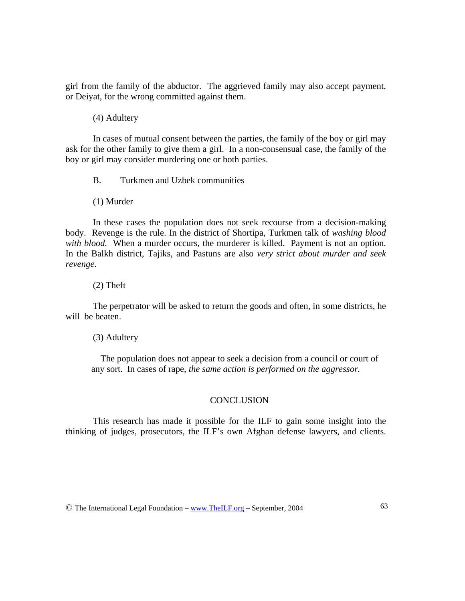girl from the family of the abductor. The aggrieved family may also accept payment, or Deiyat, for the wrong committed against them.

(4) Adultery

 In cases of mutual consent between the parties, the family of the boy or girl may ask for the other family to give them a girl. In a non-consensual case, the family of the boy or girl may consider murdering one or both parties.

B. Turkmen and Uzbek communities

(1) Murder

 In these cases the population does not seek recourse from a decision-making body. Revenge is the rule. In the district of Shortipa, Turkmen talk of *washing blood with blood.* When a murder occurs, the murderer is killed. Payment is not an option. In the Balkh district, Tajiks, and Pastuns are also *very strict about murder and seek revenge*.

(2) Theft

 The perpetrator will be asked to return the goods and often, in some districts, he will be beaten.

(3) Adultery

 The population does not appear to seek a decision from a council or court of any sort. In cases of rape, *the same action is performed on the aggressor.* 

# **CONCLUSION**

 This research has made it possible for the ILF to gain some insight into the thinking of judges, prosecutors, the ILF's own Afghan defense lawyers, and clients.